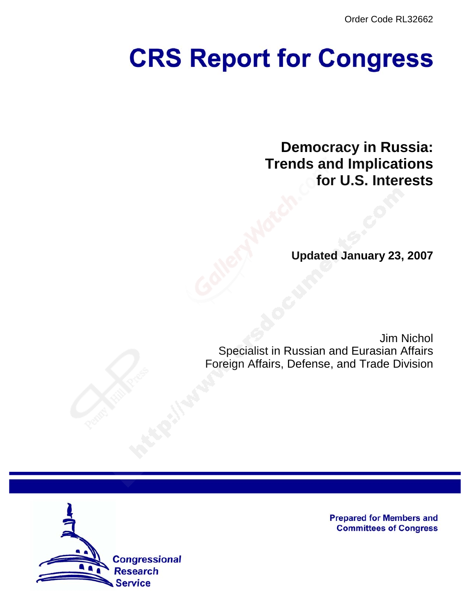Order Code RL32662

# **CRS Report for Congress**

**Democracy in Russia: Trends and Implications for U.S. Interests**

**Updated January 23, 2007**

Jim Nichol Specialist in Russian and Eurasian Affairs Foreign Affairs, Defense, and Trade Division



**Prepared for Members and Committees of Congress**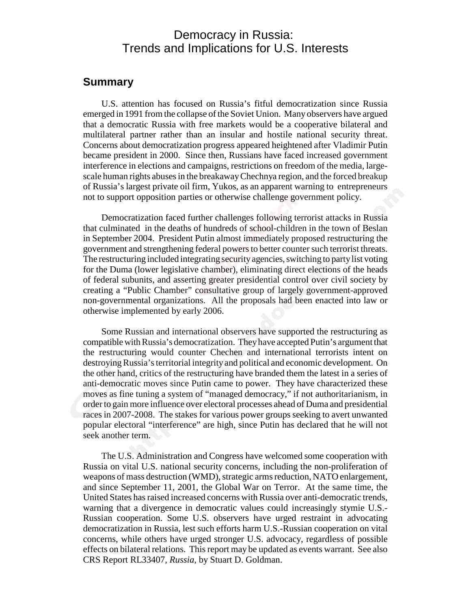## Democracy in Russia: Trends and Implications for U.S. Interests

## **Summary**

U.S. attention has focused on Russia's fitful democratization since Russia emerged in 1991 from the collapse of the Soviet Union. Many observers have argued that a democratic Russia with free markets would be a cooperative bilateral and multilateral partner rather than an insular and hostile national security threat. Concerns about democratization progress appeared heightened after Vladimir Putin became president in 2000. Since then, Russians have faced increased government interference in elections and campaigns, restrictions on freedom of the media, largescale human rights abuses in the breakaway Chechnya region, and the forced breakup of Russia's largest private oil firm, Yukos, as an apparent warning to entrepreneurs not to support opposition parties or otherwise challenge government policy.

Democratization faced further challenges following terrorist attacks in Russia that culminated in the deaths of hundreds of school-children in the town of Beslan in September 2004. President Putin almost immediately proposed restructuring the government and strengthening federal powers to better counter such terrorist threats. The restructuring included integrating security agencies, switching to party list voting for the Duma (lower legislative chamber), eliminating direct elections of the heads of federal subunits, and asserting greater presidential control over civil society by creating a "Public Chamber" consultative group of largely government-approved non-governmental organizations. All the proposals had been enacted into law or otherwise implemented by early 2006.

Some Russian and international observers have supported the restructuring as compatible with Russia's democratization. They have accepted Putin's argument that the restructuring would counter Chechen and international terrorists intent on destroying Russia's territorial integrity and political and economic development. On the other hand, critics of the restructuring have branded them the latest in a series of anti-democratic moves since Putin came to power. They have characterized these moves as fine tuning a system of "managed democracy," if not authoritarianism, in order to gain more influence over electoral processes ahead of Duma and presidential races in 2007-2008. The stakes for various power groups seeking to avert unwanted popular electoral "interference" are high, since Putin has declared that he will not seek another term.

The U.S. Administration and Congress have welcomed some cooperation with Russia on vital U.S. national security concerns, including the non-proliferation of weapons of mass destruction (WMD), strategic arms reduction, NATO enlargement, and since September 11, 2001, the Global War on Terror. At the same time, the United States has raised increased concerns with Russia over anti-democratic trends, warning that a divergence in democratic values could increasingly stymie U.S.- Russian cooperation. Some U.S. observers have urged restraint in advocating democratization in Russia, lest such efforts harm U.S.-Russian cooperation on vital concerns, while others have urged stronger U.S. advocacy, regardless of possible effects on bilateral relations. This report may be updated as events warrant. See also CRS Report RL33407, *Russia*, by Stuart D. Goldman.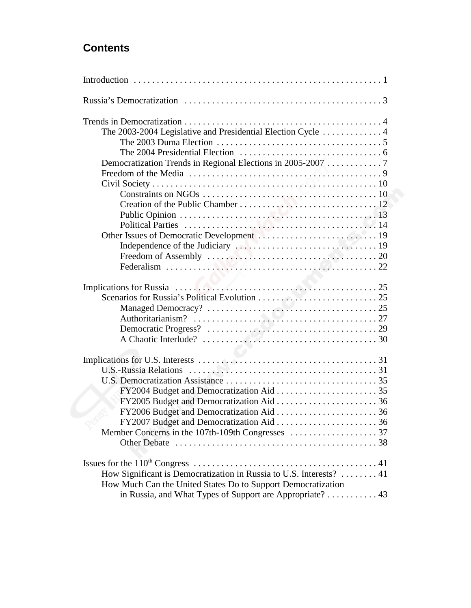# **Contents**

| The 2003-2004 Legislative and Presidential Election Cycle  4<br>Democratization Trends in Regional Elections in 2005-2007 7                                                                     |
|-------------------------------------------------------------------------------------------------------------------------------------------------------------------------------------------------|
|                                                                                                                                                                                                 |
| <b>U.S.-Russia Relations</b>                                                                                                                                                                    |
| How Significant is Democratization in Russia to U.S. Interests?  41<br>How Much Can the United States Do to Support Democratization<br>in Russia, and What Types of Support are Appropriate? 43 |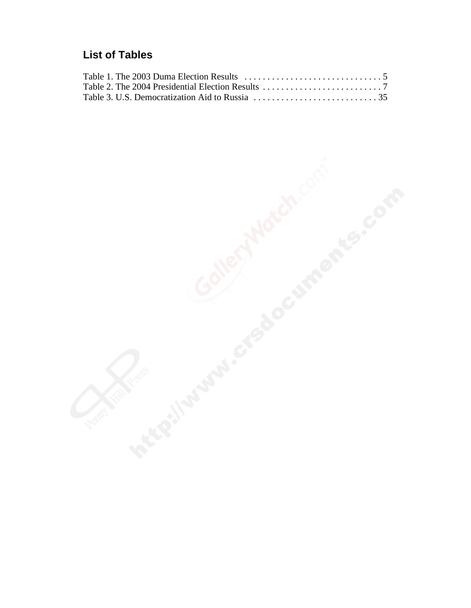## **List of Tables**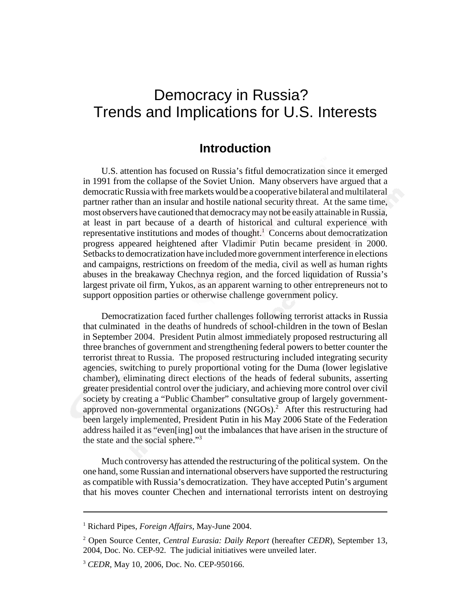# Democracy in Russia? Trends and Implications for U.S. Interests

## **Introduction**

U.S. attention has focused on Russia's fitful democratization since it emerged in 1991 from the collapse of the Soviet Union. Many observers have argued that a democratic Russia with free markets would be a cooperative bilateral and multilateral partner rather than an insular and hostile national security threat. At the same time, most observers have cautioned that democracy may not be easily attainable in Russia, at least in part because of a dearth of historical and cultural experience with representative institutions and modes of thought.<sup>1</sup> Concerns about democratization progress appeared heightened after Vladimir Putin became president in 2000. Setbacks to democratization have included more government interference in elections and campaigns, restrictions on freedom of the media, civil as well as human rights abuses in the breakaway Chechnya region, and the forced liquidation of Russia's largest private oil firm, Yukos, as an apparent warning to other entrepreneurs not to support opposition parties or otherwise challenge government policy.

Democratization faced further challenges following terrorist attacks in Russia that culminated in the deaths of hundreds of school-children in the town of Beslan in September 2004. President Putin almost immediately proposed restructuring all three branches of government and strengthening federal powers to better counter the terrorist threat to Russia. The proposed restructuring included integrating security agencies, switching to purely proportional voting for the Duma (lower legislative chamber), eliminating direct elections of the heads of federal subunits, asserting greater presidential control over the judiciary, and achieving more control over civil society by creating a "Public Chamber" consultative group of largely governmentapproved non-governmental organizations  $(NGOs)<sup>2</sup>$ . After this restructuring had been largely implemented, President Putin in his May 2006 State of the Federation address hailed it as "even[ing] out the imbalances that have arisen in the structure of the state and the social sphere."3

Much controversy has attended the restructuring of the political system. On the one hand, some Russian and international observers have supported the restructuring as compatible with Russia's democratization. They have accepted Putin's argument that his moves counter Chechen and international terrorists intent on destroying

<sup>1</sup> Richard Pipes, *Foreign Affairs*, May-June 2004.

<sup>2</sup> Open Source Center, *Central Eurasia: Daily Report* (hereafter *CEDR*), September 13, 2004, Doc. No. CEP-92. The judicial initiatives were unveiled later.

<sup>3</sup> *CEDR*, May 10, 2006, Doc. No. CEP-950166.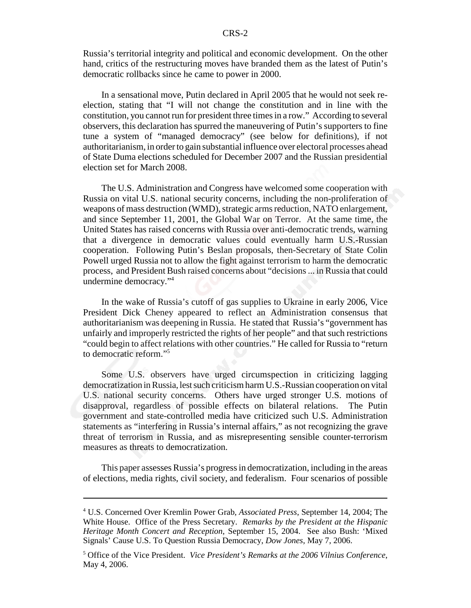Russia's territorial integrity and political and economic development. On the other hand, critics of the restructuring moves have branded them as the latest of Putin's democratic rollbacks since he came to power in 2000.

In a sensational move, Putin declared in April 2005 that he would not seek reelection, stating that "I will not change the constitution and in line with the constitution, you cannot run for president three times in a row." According to several observers, this declaration has spurred the maneuvering of Putin's supporters to fine tune a system of "managed democracy" (see below for definitions), if not authoritarianism, in order to gain substantial influence over electoral processes ahead of State Duma elections scheduled for December 2007 and the Russian presidential election set for March 2008.

The U.S. Administration and Congress have welcomed some cooperation with Russia on vital U.S. national security concerns, including the non-proliferation of weapons of mass destruction (WMD), strategic arms reduction, NATO enlargement, and since September 11, 2001, the Global War on Terror. At the same time, the United States has raised concerns with Russia over anti-democratic trends, warning that a divergence in democratic values could eventually harm U.S.-Russian cooperation. Following Putin's Beslan proposals, then-Secretary of State Colin Powell urged Russia not to allow the fight against terrorism to harm the democratic process, and President Bush raised concerns about "decisions ... in Russia that could undermine democracy."4

In the wake of Russia's cutoff of gas supplies to Ukraine in early 2006, Vice President Dick Cheney appeared to reflect an Administration consensus that authoritarianism was deepening in Russia. He stated that Russia's "government has unfairly and improperly restricted the rights of her people" and that such restrictions "could begin to affect relations with other countries." He called for Russia to "return to democratic reform."5

Some U.S. observers have urged circumspection in criticizing lagging democratization in Russia, lest such criticism harm U.S.-Russian cooperation on vital U.S. national security concerns. Others have urged stronger U.S. motions of disapproval, regardless of possible effects on bilateral relations. The Putin government and state-controlled media have criticized such U.S. Administration statements as "interfering in Russia's internal affairs," as not recognizing the grave threat of terrorism in Russia, and as misrepresenting sensible counter-terrorism measures as threats to democratization.

This paper assesses Russia's progress in democratization, including in the areas of elections, media rights, civil society, and federalism. Four scenarios of possible

<sup>4</sup> U.S. Concerned Over Kremlin Power Grab, *Associated Press*, September 14, 2004; The White House. Office of the Press Secretary. *Remarks by the President at the Hispanic Heritage Month Concert and Reception*, September 15, 2004. See also Bush: 'Mixed Signals' Cause U.S. To Question Russia Democracy, *Dow Jones*, May 7, 2006.

<sup>5</sup> Office of the Vice President. *Vice President's Remarks at the 2006 Vilnius Conference*, May 4, 2006.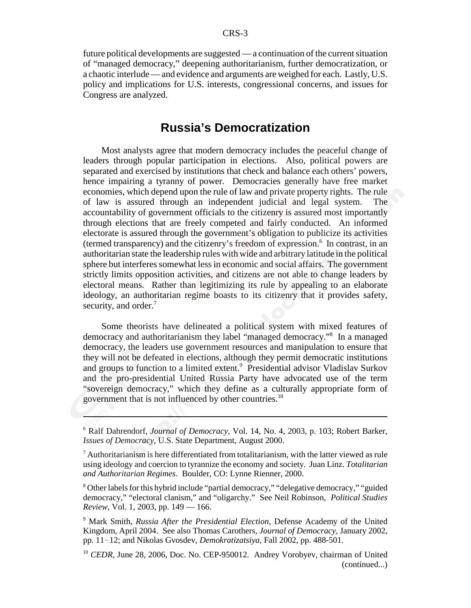future political developments are suggested — a continuation of the current situation of "managed democracy," deepening authoritarianism, further democratization, or a chaotic interlude — and evidence and arguments are weighed for each. Lastly, U.S. policy and implications for U.S. interests, congressional concerns, and issues for Congress are analyzed.

## **Russia's Democratization**

Most analysts agree that modern democracy includes the peaceful change of leaders through popular participation in elections. Also, political powers are separated and exercised by institutions that check and balance each others' powers, hence impairing a tyranny of power. Democracies generally have free market economies, which depend upon the rule of law and private property rights. The rule of law is assured through an independent judicial and legal system. The accountability of government officials to the citizenry is assured most importantly through elections that are freely competed and fairly conducted. An informed electorate is assured through the government's obligation to publicize its activities (termed transparency) and the citizenry's freedom of expression.<sup>6</sup> In contrast, in an authoritarian state the leadership rules with wide and arbitrary latitude in the political sphere but interferes somewhat less in economic and social affairs. The government strictly limits opposition activities, and citizens are not able to change leaders by electoral means. Rather than legitimizing its rule by appealing to an elaborate ideology, an authoritarian regime boasts to its citizenry that it provides safety, security, and order.<sup>7</sup>

Some theorists have delineated a political system with mixed features of democracy and authoritarianism they label "managed democracy."8 In a managed democracy, the leaders use government resources and manipulation to ensure that they will not be defeated in elections, although they permit democratic institutions and groups to function to a limited extent.<sup>9</sup> Presidential advisor Vladislav Surkov and the pro-presidential United Russia Party have advocated use of the term "sovereign democracy," which they define as a culturally appropriate form of government that is not influenced by other countries.<sup>10</sup>

<sup>6</sup> Ralf Dahrendorf, *Journal of Democracy*, Vol. 14, No. 4, 2003, p. 103; Robert Barker, *Issues of Democracy*, U.S. State Department, August 2000.

 $<sup>7</sup>$  Authoritarianism is here differentiated from totalitarianism, with the latter viewed as rule</sup> using ideology and coercion to tyrannize the economy and society. Juan Linz. *Totalitarian and Authoritarian Regimes*. Boulder, CO: Lynne Rienner, 2000.

<sup>&</sup>lt;sup>8</sup> Other labels for this hybrid include "partial democracy," "delegative democracy," "guided democracy," "electoral clanism," and "oligarchy." See Neil Robinson, *Political Studies Review*, Vol. 1, 2003, pp. 149 — 166.

<sup>9</sup> Mark Smith, *Russia After the Presidential Election*, Defense Academy of the United Kingdom, April 2004. See also Thomas Carothers, *Journal of Democracy,* January 2002, pp. 11-12; and Nikolas Gvosdev, *Demokratizatsiya*, Fall 2002, pp. 488-501.

<sup>&</sup>lt;sup>10</sup> *CEDR*, June 28, 2006, Doc. No. CEP-950012. Andrey Vorobyev, chairman of United (continued...)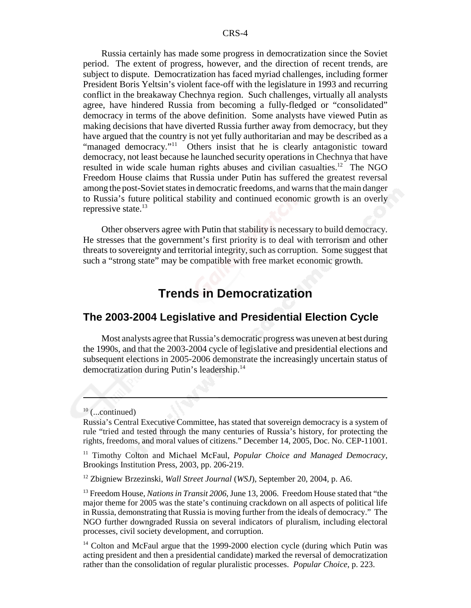Russia certainly has made some progress in democratization since the Soviet period. The extent of progress, however, and the direction of recent trends, are subject to dispute. Democratization has faced myriad challenges, including former President Boris Yeltsin's violent face-off with the legislature in 1993 and recurring conflict in the breakaway Chechnya region. Such challenges, virtually all analysts agree, have hindered Russia from becoming a fully-fledged or "consolidated" democracy in terms of the above definition. Some analysts have viewed Putin as making decisions that have diverted Russia further away from democracy, but they have argued that the country is not yet fully authoritarian and may be described as a "managed democracy."<sup>11</sup> Others insist that he is clearly antagonistic toward democracy, not least because he launched security operations in Chechnya that have resulted in wide scale human rights abuses and civilian casualties.<sup>12</sup> The NGO Freedom House claims that Russia under Putin has suffered the greatest reversal among the post-Soviet states in democratic freedoms, and warns that the main danger to Russia's future political stability and continued economic growth is an overly repressive state. $^{13}$ 

Other observers agree with Putin that stability is necessary to build democracy. He stresses that the government's first priority is to deal with terrorism and other threats to sovereignty and territorial integrity, such as corruption. Some suggest that such a "strong state" may be compatible with free market economic growth.

## **Trends in Democratization**

#### **The 2003-2004 Legislative and Presidential Election Cycle**

Most analysts agree that Russia's democratic progress was uneven at best during the 1990s, and that the 2003-2004 cycle of legislative and presidential elections and subsequent elections in 2005-2006 demonstrate the increasingly uncertain status of democratization during Putin's leadership.14

 $10$  (...continued)

Russia's Central Executive Committee, has stated that sovereign democracy is a system of rule "tried and tested through the many centuries of Russia's history, for protecting the rights, freedoms, and moral values of citizens." December 14, 2005, Doc. No. CEP-11001.

<sup>11</sup> Timothy Colton and Michael McFaul, *Popular Choice and Managed Democracy*, Brookings Institution Press, 2003, pp. 206-219.

<sup>12</sup> Zbigniew Brzezinski, *Wall Street Journal* (*WSJ*), September 20, 2004, p. A6.

<sup>13</sup> Freedom House, *Nations in Transit 2006*, June 13, 2006. Freedom House stated that "the major theme for 2005 was the state's continuing crackdown on all aspects of political life in Russia, demonstrating that Russia is moving further from the ideals of democracy." The NGO further downgraded Russia on several indicators of pluralism, including electoral processes, civil society development, and corruption.

<sup>&</sup>lt;sup>14</sup> Colton and McFaul argue that the 1999-2000 election cycle (during which Putin was acting president and then a presidential candidate) marked the reversal of democratization rather than the consolidation of regular pluralistic processes. *Popular Choice*, p. 223.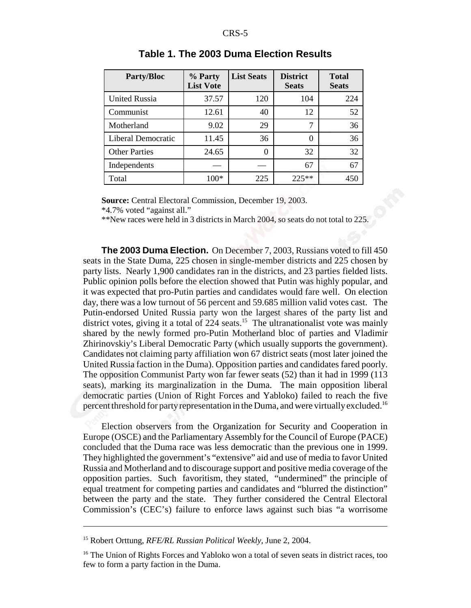| <b>Party/Bloc</b>         | % Party<br><b>List Vote</b> | <b>List Seats</b> | <b>District</b><br><b>Seats</b> | <b>Total</b><br><b>Seats</b> |
|---------------------------|-----------------------------|-------------------|---------------------------------|------------------------------|
| <b>United Russia</b>      | 37.57                       | 120               | 104                             | 224                          |
| Communist                 | 12.61                       | 40                | 12                              | 52                           |
| Motherland                | 9.02                        | 29                | 7                               | 36                           |
| <b>Liberal Democratic</b> | 11.45                       | 36                | $\theta$                        | 36                           |
| <b>Other Parties</b>      | 24.65                       | $\theta$          | 32                              | 32                           |
| Independents              |                             |                   | 67                              | 67                           |
| Total                     | $100*$                      | 225               | $225**$                         | 450                          |

#### **Table 1. The 2003 Duma Election Results**

**Source:** Central Electoral Commission, December 19, 2003.

\*4.7% voted "against all."

\*\*New races were held in 3 districts in March 2004, so seats do not total to 225.

**The 2003 Duma Election.** On December 7, 2003, Russians voted to fill 450 seats in the State Duma, 225 chosen in single-member districts and 225 chosen by party lists. Nearly 1,900 candidates ran in the districts, and 23 parties fielded lists. Public opinion polls before the election showed that Putin was highly popular, and it was expected that pro-Putin parties and candidates would fare well. On election day, there was a low turnout of 56 percent and 59.685 million valid votes cast. The Putin-endorsed United Russia party won the largest shares of the party list and district votes, giving it a total of  $224$  seats.<sup>15</sup> The ultranationalist vote was mainly shared by the newly formed pro-Putin Motherland bloc of parties and Vladimir Zhirinovskiy's Liberal Democratic Party (which usually supports the government). Candidates not claiming party affiliation won 67 district seats (most later joined the United Russia faction in the Duma). Opposition parties and candidates fared poorly. The opposition Communist Party won far fewer seats (52) than it had in 1999 (113 seats), marking its marginalization in the Duma. The main opposition liberal democratic parties (Union of Right Forces and Yabloko) failed to reach the five percent threshold for party representation in the Duma, and were virtually excluded.<sup>16</sup>

Election observers from the Organization for Security and Cooperation in Europe (OSCE) and the Parliamentary Assembly for the Council of Europe (PACE) concluded that the Duma race was less democratic than the previous one in 1999. They highlighted the government's "extensive" aid and use of media to favor United Russia and Motherland and to discourage support and positive media coverage of the opposition parties. Such favoritism, they stated, "undermined" the principle of equal treatment for competing parties and candidates and "blurred the distinction" between the party and the state. They further considered the Central Electoral Commission's (CEC's) failure to enforce laws against such bias "a worrisome

<sup>15</sup> Robert Orttung, *RFE/RL Russian Political Weekly*, June 2, 2004.

<sup>&</sup>lt;sup>16</sup> The Union of Rights Forces and Yabloko won a total of seven seats in district races, too few to form a party faction in the Duma.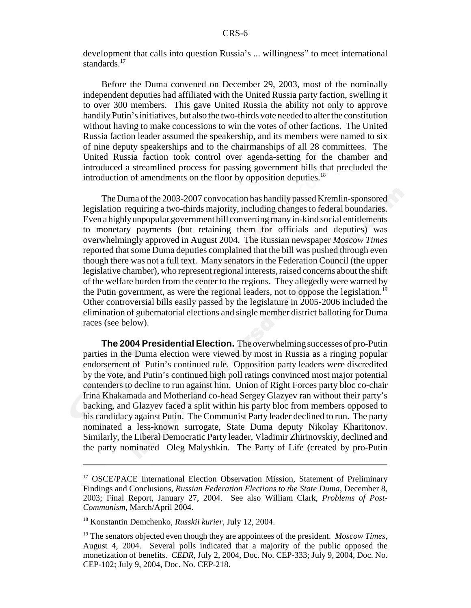development that calls into question Russia's ... willingness" to meet international standards.<sup>17</sup>

Before the Duma convened on December 29, 2003, most of the nominally independent deputies had affiliated with the United Russia party faction, swelling it to over 300 members. This gave United Russia the ability not only to approve handily Putin's initiatives, but also the two-thirds vote needed to alter the constitution without having to make concessions to win the votes of other factions. The United Russia faction leader assumed the speakership, and its members were named to six of nine deputy speakerships and to the chairmanships of all 28 committees. The United Russia faction took control over agenda-setting for the chamber and introduced a streamlined process for passing government bills that precluded the introduction of amendments on the floor by opposition deputies.<sup>18</sup>

The Duma of the 2003-2007 convocation has handily passed Kremlin-sponsored legislation requiring a two-thirds majority, including changes to federal boundaries. Even a highly unpopular government bill converting many in-kind social entitlements to monetary payments (but retaining them for officials and deputies) was overwhelmingly approved in August 2004. The Russian newspaper *Moscow Times* reported that some Duma deputies complained that the bill was pushed through even though there was not a full text. Many senators in the Federation Council (the upper legislative chamber), who represent regional interests, raised concerns about the shift of the welfare burden from the center to the regions. They allegedly were warned by the Putin government, as were the regional leaders, not to oppose the legislation.<sup>19</sup> Other controversial bills easily passed by the legislature in 2005-2006 included the elimination of gubernatorial elections and single member district balloting for Duma races (see below).

**The 2004 Presidential Election.** The overwhelming successes of pro-Putin parties in the Duma election were viewed by most in Russia as a ringing popular endorsement of Putin's continued rule. Opposition party leaders were discredited by the vote, and Putin's continued high poll ratings convinced most major potential contenders to decline to run against him. Union of Right Forces party bloc co-chair Irina Khakamada and Motherland co-head Sergey Glazyev ran without their party's backing, and Glazyev faced a split within his party bloc from members opposed to his candidacy against Putin. The Communist Party leader declined to run. The party nominated a less-known surrogate, State Duma deputy Nikolay Kharitonov. Similarly, the Liberal Democratic Party leader, Vladimir Zhirinovskiy, declined and the party nominated Oleg Malyshkin. The Party of Life (created by pro-Putin

<sup>&</sup>lt;sup>17</sup> OSCE/PACE International Election Observation Mission, Statement of Preliminary Findings and Conclusions, *Russian Federation Elections to the State Duma*, December 8, 2003; Final Report, January 27, 2004. See also William Clark, *Problems of Post-Communism*, March/April 2004.

<sup>18</sup> Konstantin Demchenko, *Russkii kurier*, July 12, 2004.

<sup>19</sup> The senators objected even though they are appointees of the president. *Moscow Times*, August 4, 2004. Several polls indicated that a majority of the public opposed the monetization of benefits. *CEDR*, July 2, 2004, Doc. No. CEP-333; July 9, 2004, Doc. No. CEP-102; July 9, 2004, Doc. No. CEP-218.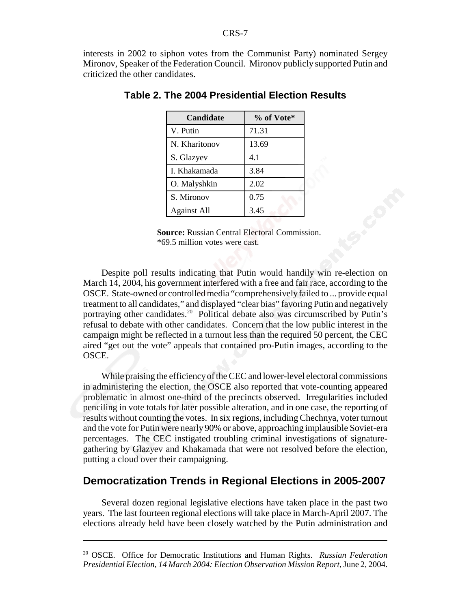interests in 2002 to siphon votes from the Communist Party) nominated Sergey Mironov, Speaker of the Federation Council. Mironov publicly supported Putin and criticized the other candidates.

| <b>Candidate</b>   | % of Vote* |
|--------------------|------------|
| V. Putin           | 71.31      |
| N. Kharitonov      | 13.69      |
| S. Glazyev         | 4.1        |
| I. Khakamada       | 3.84       |
| O. Malyshkin       | 2.02       |
| S. Mironov         | 0.75       |
| <b>Against All</b> | 3.45       |

#### **Table 2. The 2004 Presidential Election Results**

**Source:** Russian Central Electoral Commission. \*69.5 million votes were cast.

Despite poll results indicating that Putin would handily win re-election on March 14, 2004, his government interfered with a free and fair race, according to the OSCE. State-owned or controlled media "comprehensively failed to ... provide equal treatment to all candidates," and displayed "clear bias" favoring Putin and negatively portraying other candidates.<sup>20</sup> Political debate also was circumscribed by Putin's refusal to debate with other candidates. Concern that the low public interest in the campaign might be reflected in a turnout less than the required 50 percent, the CEC aired "get out the vote" appeals that contained pro-Putin images, according to the OSCE.

While praising the efficiency of the CEC and lower-level electoral commissions in administering the election, the OSCE also reported that vote-counting appeared problematic in almost one-third of the precincts observed. Irregularities included penciling in vote totals for later possible alteration, and in one case, the reporting of results without counting the votes. In six regions, including Chechnya, voter turnout and the vote for Putin were nearly 90% or above, approaching implausible Soviet-era percentages. The CEC instigated troubling criminal investigations of signaturegathering by Glazyev and Khakamada that were not resolved before the election, putting a cloud over their campaigning.

## **Democratization Trends in Regional Elections in 2005-2007**

Several dozen regional legislative elections have taken place in the past two years. The last fourteen regional elections will take place in March-April 2007. The elections already held have been closely watched by the Putin administration and

<sup>20</sup> OSCE. Office for Democratic Institutions and Human Rights. *Russian Federation Presidential Election, 14 March 2004: Election Observation Mission Report*, June 2, 2004.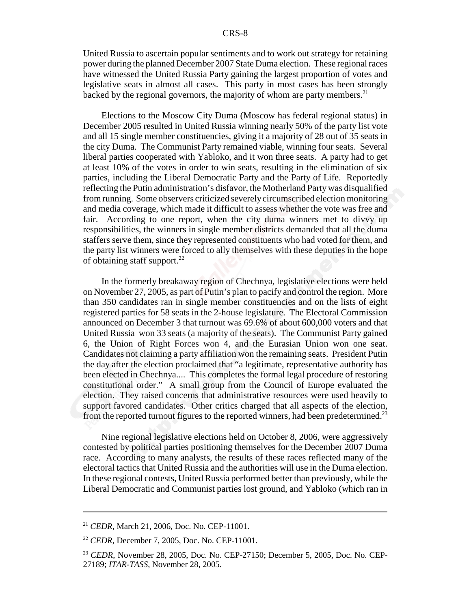United Russia to ascertain popular sentiments and to work out strategy for retaining power during the planned December 2007 State Duma election. These regional races have witnessed the United Russia Party gaining the largest proportion of votes and legislative seats in almost all cases. This party in most cases has been strongly backed by the regional governors, the majority of whom are party members.<sup>21</sup>

Elections to the Moscow City Duma (Moscow has federal regional status) in December 2005 resulted in United Russia winning nearly 50% of the party list vote and all 15 single member constituencies, giving it a majority of 28 out of 35 seats in the city Duma. The Communist Party remained viable, winning four seats. Several liberal parties cooperated with Yabloko, and it won three seats. A party had to get at least 10% of the votes in order to win seats, resulting in the elimination of six parties, including the Liberal Democratic Party and the Party of Life. Reportedly reflecting the Putin administration's disfavor, the Motherland Party was disqualified from running. Some observers criticized severely circumscribed election monitoring and media coverage, which made it difficult to assess whether the vote was free and fair. According to one report, when the city duma winners met to divvy up responsibilities, the winners in single member districts demanded that all the duma staffers serve them, since they represented constituents who had voted for them, and the party list winners were forced to ally themselves with these deputies in the hope of obtaining staff support. $^{22}$ 

In the formerly breakaway region of Chechnya, legislative elections were held on November 27, 2005, as part of Putin's plan to pacify and control the region. More than 350 candidates ran in single member constituencies and on the lists of eight registered parties for 58 seats in the 2-house legislature. The Electoral Commission announced on December 3 that turnout was 69.6% of about 600,000 voters and that United Russia won 33 seats (a majority of the seats). The Communist Party gained 6, the Union of Right Forces won 4, and the Eurasian Union won one seat. Candidates not claiming a party affiliation won the remaining seats. President Putin the day after the election proclaimed that "a legitimate, representative authority has been elected in Chechnya.... This completes the formal legal procedure of restoring constitutional order." A small group from the Council of Europe evaluated the election. They raised concerns that administrative resources were used heavily to support favored candidates. Other critics charged that all aspects of the election, from the reported turnout figures to the reported winners, had been predetermined.<sup>23</sup>

Nine regional legislative elections held on October 8, 2006, were aggressively contested by political parties positioning themselves for the December 2007 Duma race. According to many analysts, the results of these races reflected many of the electoral tactics that United Russia and the authorities will use in the Duma election. In these regional contests, United Russia performed better than previously, while the Liberal Democratic and Communist parties lost ground, and Yabloko (which ran in

<sup>21</sup> *CEDR*, March 21, 2006, Doc. No. CEP-11001.

<sup>22</sup> *CEDR*, December 7, 2005, Doc. No. CEP-11001.

<sup>23</sup> *CEDR*, November 28, 2005, Doc. No. CEP-27150; December 5, 2005, Doc. No. CEP-27189; *ITAR-TASS*, November 28, 2005.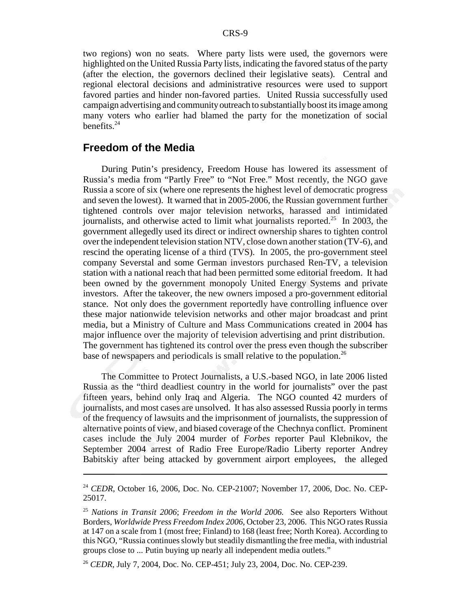two regions) won no seats. Where party lists were used, the governors were highlighted on the United Russia Party lists, indicating the favored status of the party (after the election, the governors declined their legislative seats). Central and regional electoral decisions and administrative resources were used to support favored parties and hinder non-favored parties. United Russia successfully used campaign advertising and community outreach to substantially boost its image among many voters who earlier had blamed the party for the monetization of social benefits. $24$ 

## **Freedom of the Media**

During Putin's presidency, Freedom House has lowered its assessment of Russia's media from "Partly Free" to "Not Free." Most recently, the NGO gave Russia a score of six (where one represents the highest level of democratic progress and seven the lowest). It warned that in 2005-2006, the Russian government further tightened controls over major television networks, harassed and intimidated journalists, and otherwise acted to limit what journalists reported.<sup>25</sup> In 2003, the government allegedly used its direct or indirect ownership shares to tighten control over the independent television station NTV, close down another station (TV-6), and rescind the operating license of a third (TVS). In 2005, the pro-government steel company Severstal and some German investors purchased Ren-TV, a television station with a national reach that had been permitted some editorial freedom. It had been owned by the government monopoly United Energy Systems and private investors. After the takeover, the new owners imposed a pro-government editorial stance. Not only does the government reportedly have controlling influence over these major nationwide television networks and other major broadcast and print media, but a Ministry of Culture and Mass Communications created in 2004 has major influence over the majority of television advertising and print distribution. The government has tightened its control over the press even though the subscriber base of newspapers and periodicals is small relative to the population.<sup>26</sup>

The Committee to Protect Journalists, a U.S.-based NGO, in late 2006 listed Russia as the "third deadliest country in the world for journalists" over the past fifteen years, behind only Iraq and Algeria. The NGO counted 42 murders of journalists, and most cases are unsolved. It has also assessed Russia poorly in terms of the frequency of lawsuits and the imprisonment of journalists, the suppression of alternative points of view, and biased coverage of the Chechnya conflict. Prominent cases include the July 2004 murder of *Forbes* reporter Paul Klebnikov, the September 2004 arrest of Radio Free Europe/Radio Liberty reporter Andrey Babitskiy after being attacked by government airport employees, the alleged

<sup>24</sup> *CEDR*, October 16, 2006, Doc. No. CEP-21007; November 17, 2006, Doc. No. CEP-25017.

<sup>25</sup> *Nations in Transit 2006*; *Freedom in the World 2006.* See also Reporters Without Borders, *Worldwide Press Freedom Index 2006*, October 23, 2006. This NGO rates Russia at 147 on a scale from 1 (most free; Finland) to 168 (least free; North Korea). According to this NGO, "Russia continues slowly but steadily dismantling the free media, with industrial groups close to ... Putin buying up nearly all independent media outlets."

<sup>26</sup> *CEDR*, July 7, 2004, Doc. No. CEP-451; July 23, 2004, Doc. No. CEP-239.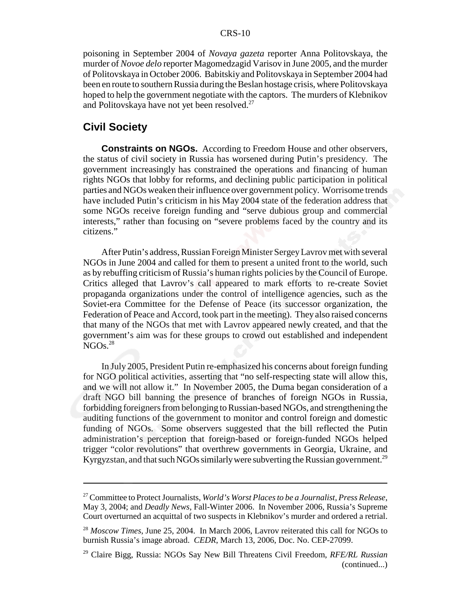poisoning in September 2004 of *Novaya gazeta* reporter Anna Politovskaya, the murder of *Novoe delo* reporter Magomedzagid Varisov in June 2005, and the murder of Politovskaya in October 2006. Babitskiy and Politovskaya in September 2004 had been en route to southern Russia during the Beslan hostage crisis, where Politovskaya hoped to help the government negotiate with the captors. The murders of Klebnikov and Politovskaya have not yet been resolved.<sup>27</sup>

## **Civil Society**

**Constraints on NGOs.** According to Freedom House and other observers, the status of civil society in Russia has worsened during Putin's presidency. The government increasingly has constrained the operations and financing of human rights NGOs that lobby for reforms, and declining public participation in political parties and NGOs weaken their influence over government policy. Worrisome trends have included Putin's criticism in his May 2004 state of the federation address that some NGOs receive foreign funding and "serve dubious group and commercial interests," rather than focusing on "severe problems faced by the country and its citizens."

After Putin's address, Russian Foreign Minister Sergey Lavrov met with several NGOs in June 2004 and called for them to present a united front to the world, such as by rebuffing criticism of Russia's human rights policies by the Council of Europe. Critics alleged that Lavrov's call appeared to mark efforts to re-create Soviet propaganda organizations under the control of intelligence agencies, such as the Soviet-era Committee for the Defense of Peace (its successor organization, the Federation of Peace and Accord, took part in the meeting). They also raised concerns that many of the NGOs that met with Lavrov appeared newly created, and that the government's aim was for these groups to crowd out established and independent  $NGOs.<sup>28</sup>$ 

In July 2005, President Putin re-emphasized his concerns about foreign funding for NGO political activities, asserting that "no self-respecting state will allow this, and we will not allow it." In November 2005, the Duma began consideration of a draft NGO bill banning the presence of branches of foreign NGOs in Russia, forbidding foreigners from belonging to Russian-based NGOs, and strengthening the auditing functions of the government to monitor and control foreign and domestic funding of NGOs. Some observers suggested that the bill reflected the Putin administration's perception that foreign-based or foreign-funded NGOs helped trigger "color revolutions" that overthrew governments in Georgia, Ukraine, and Kyrgyzstan, and that such NGOs similarly were subverting the Russian government.<sup>29</sup>

<sup>27</sup> Committee to Protect Journalists, *World's Worst Places to be a Journalist, Press Release*, May 3, 2004; and *Deadly News*, Fall-Winter 2006. In November 2006, Russia's Supreme Court overturned an acquittal of two suspects in Klebnikov's murder and ordered a retrial.

<sup>28</sup> *Moscow Times*, June 25, 2004. In March 2006, Lavrov reiterated this call for NGOs to burnish Russia's image abroad. *CEDR*, March 13, 2006, Doc. No. CEP-27099.

<sup>29</sup> Claire Bigg, Russia: NGOs Say New Bill Threatens Civil Freedom, *RFE/RL Russian* (continued...)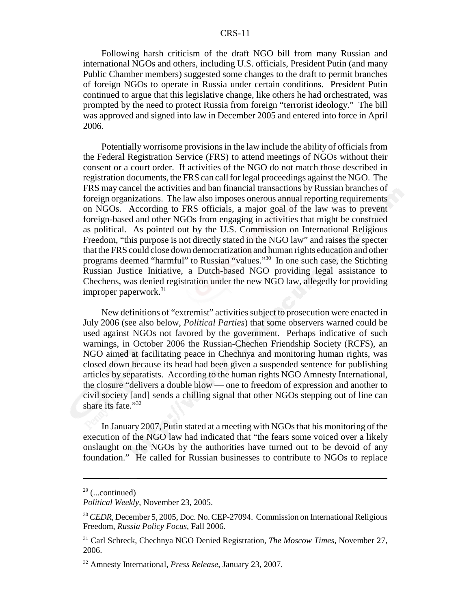Following harsh criticism of the draft NGO bill from many Russian and international NGOs and others, including U.S. officials, President Putin (and many Public Chamber members) suggested some changes to the draft to permit branches of foreign NGOs to operate in Russia under certain conditions. President Putin continued to argue that this legislative change, like others he had orchestrated, was prompted by the need to protect Russia from foreign "terrorist ideology." The bill was approved and signed into law in December 2005 and entered into force in April 2006.

Potentially worrisome provisions in the law include the ability of officials from the Federal Registration Service (FRS) to attend meetings of NGOs without their consent or a court order. If activities of the NGO do not match those described in registration documents, the FRS can call for legal proceedings against the NGO. The FRS may cancel the activities and ban financial transactions by Russian branches of foreign organizations. The law also imposes onerous annual reporting requirements on NGOs. According to FRS officials, a major goal of the law was to prevent foreign-based and other NGOs from engaging in activities that might be construed as political. As pointed out by the U.S. Commission on International Religious Freedom, "this purpose is not directly stated in the NGO law" and raises the specter that the FRS could close down democratization and human rights education and other programs deemed "harmful" to Russian "values."30 In one such case, the Stichting Russian Justice Initiative, a Dutch-based NGO providing legal assistance to Chechens, was denied registration under the new NGO law, allegedly for providing improper paperwork. $31$ 

New definitions of "extremist" activities subject to prosecution were enacted in July 2006 (see also below, *Political Parties*) that some observers warned could be used against NGOs not favored by the government. Perhaps indicative of such warnings, in October 2006 the Russian-Chechen Friendship Society (RCFS), an NGO aimed at facilitating peace in Chechnya and monitoring human rights, was closed down because its head had been given a suspended sentence for publishing articles by separatists. According to the human rights NGO Amnesty International, the closure "delivers a double blow — one to freedom of expression and another to civil society [and] sends a chilling signal that other NGOs stepping out of line can share its fate."<sup>32</sup>

In January 2007, Putin stated at a meeting with NGOs that his monitoring of the execution of the NGO law had indicated that "the fears some voiced over a likely onslaught on the NGOs by the authorities have turned out to be devoid of any foundation." He called for Russian businesses to contribute to NGOs to replace

 $29$  (...continued)

*Political Weekly*, November 23, 2005.

<sup>30</sup> *CEDR*, December 5, 2005, Doc. No. CEP-27094. Commission on International Religious Freedom, *Russia Policy Focus*, Fall 2006.

<sup>31</sup> Carl Schreck, Chechnya NGO Denied Registration, *The Moscow Times*, November 27, 2006.

<sup>32</sup> Amnesty International, *Press Release*, January 23, 2007.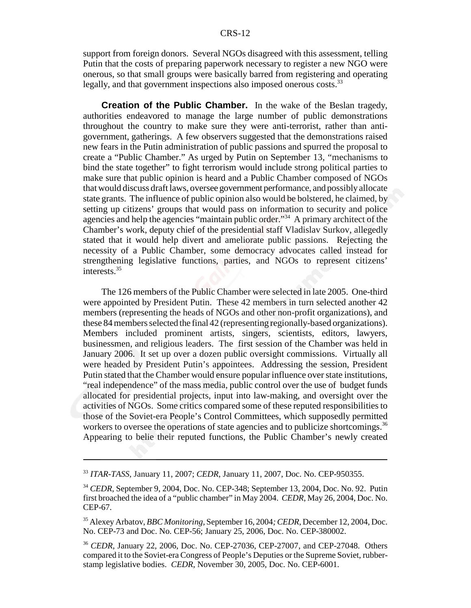support from foreign donors. Several NGOs disagreed with this assessment, telling Putin that the costs of preparing paperwork necessary to register a new NGO were onerous, so that small groups were basically barred from registering and operating legally, and that government inspections also imposed onerous costs.<sup>33</sup>

**Creation of the Public Chamber.** In the wake of the Beslan tragedy, authorities endeavored to manage the large number of public demonstrations throughout the country to make sure they were anti-terrorist, rather than antigovernment, gatherings. A few observers suggested that the demonstrations raised new fears in the Putin administration of public passions and spurred the proposal to create a "Public Chamber." As urged by Putin on September 13, "mechanisms to bind the state together" to fight terrorism would include strong political parties to make sure that public opinion is heard and a Public Chamber composed of NGOs that would discuss draft laws, oversee government performance, and possibly allocate state grants. The influence of public opinion also would be bolstered, he claimed, by setting up citizens' groups that would pass on information to security and police agencies and help the agencies "maintain public order."34 A primary architect of the Chamber's work, deputy chief of the presidential staff Vladislav Surkov, allegedly stated that it would help divert and ameliorate public passions. Rejecting the necessity of a Public Chamber, some democracy advocates called instead for strengthening legislative functions, parties, and NGOs to represent citizens' interests.<sup>35</sup>

The 126 members of the Public Chamber were selected in late 2005. One-third were appointed by President Putin. These 42 members in turn selected another 42 members (representing the heads of NGOs and other non-profit organizations), and these 84 members selected the final 42 (representing regionally-based organizations). Members included prominent artists, singers, scientists, editors, lawyers, businessmen, and religious leaders. The first session of the Chamber was held in January 2006. It set up over a dozen public oversight commissions. Virtually all were headed by President Putin's appointees. Addressing the session, President Putin stated that the Chamber would ensure popular influence over state institutions, "real independence" of the mass media, public control over the use of budget funds allocated for presidential projects, input into law-making, and oversight over the activities of NGOs. Some critics compared some of these reputed responsibilities to those of the Soviet-era People's Control Committees, which supposedly permitted workers to oversee the operations of state agencies and to publicize shortcomings.<sup>36</sup> Appearing to belie their reputed functions, the Public Chamber's newly created

<sup>33</sup> *ITAR-TASS*, January 11, 2007; *CEDR*, January 11, 2007, Doc. No. CEP-950355.

<sup>34</sup> *CEDR*, September 9, 2004, Doc. No. CEP-348; September 13, 2004, Doc. No. 92. Putin first broached the idea of a "public chamber" in May 2004. *CEDR*, May 26, 2004, Doc. No. CEP-67.

<sup>35</sup> Alexey Arbatov, *BBC Monitoring*, September 16, 2004*; CEDR*, December 12, 2004, Doc. No. CEP-73 and Doc. No. CEP-56; January 25, 2006, Doc. No. CEP-380002.

<sup>36</sup> *CEDR*, January 22, 2006, Doc. No. CEP-27036, CEP-27007, and CEP-27048. Others compared it to the Soviet-era Congress of People's Deputies or the Supreme Soviet, rubberstamp legislative bodies. *CEDR*, November 30, 2005, Doc. No. CEP-6001.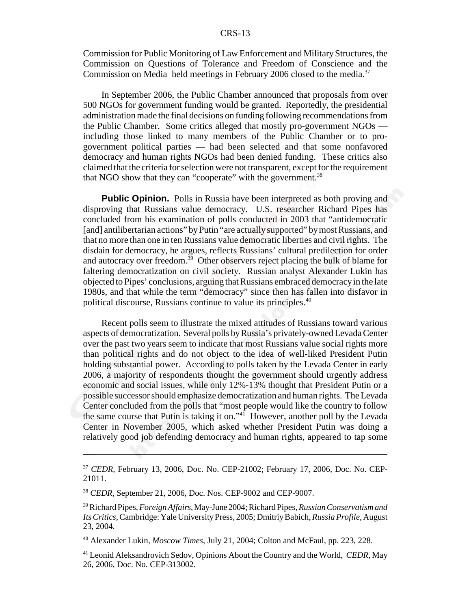Commission for Public Monitoring of Law Enforcement and Military Structures, the Commission on Questions of Tolerance and Freedom of Conscience and the Commission on Media held meetings in February 2006 closed to the media.<sup>37</sup>

In September 2006, the Public Chamber announced that proposals from over 500 NGOs for government funding would be granted. Reportedly, the presidential administration made the final decisions on funding following recommendations from the Public Chamber. Some critics alleged that mostly pro-government NGOs including those linked to many members of the Public Chamber or to progovernment political parties — had been selected and that some nonfavored democracy and human rights NGOs had been denied funding. These critics also claimed that the criteria for selection were not transparent, except for the requirement that NGO show that they can "cooperate" with the government.<sup>38</sup>

**Public Opinion.** Polls in Russia have been interpreted as both proving and disproving that Russians value democracy. U.S. researcher Richard Pipes has concluded from his examination of polls conducted in 2003 that "antidemocratic [and] antilibertarian actions" by Putin "are actually supported" by most Russians, and that no more than one in ten Russians value democratic liberties and civil rights. The disdain for democracy, he argues, reflects Russians' cultural predilection for order and autocracy over freedom.<sup>39</sup> Other observers reject placing the bulk of blame for faltering democratization on civil society. Russian analyst Alexander Lukin has objected to Pipes' conclusions, arguing that Russians embraced democracy in the late 1980s, and that while the term "democracy" since then has fallen into disfavor in political discourse, Russians continue to value its principles.<sup>40</sup>

Recent polls seem to illustrate the mixed attitudes of Russians toward various aspects of democratization. Several polls by Russia's privately-owned Levada Center over the past two years seem to indicate that most Russians value social rights more than political rights and do not object to the idea of well-liked President Putin holding substantial power. According to polls taken by the Levada Center in early 2006, a majority of respondents thought the government should urgently address economic and social issues, while only 12%-13% thought that President Putin or a possible successor should emphasize democratization and human rights. The Levada Center concluded from the polls that "most people would like the country to follow the same course that Putin is taking it on."41 However, another poll by the Levada Center in November 2005, which asked whether President Putin was doing a relatively good job defending democracy and human rights, appeared to tap some

<sup>37</sup> *CEDR*, February 13, 2006, Doc. No. CEP-21002; February 17, 2006, Doc. No. CEP-21011.

<sup>38</sup> *CEDR*, September 21, 2006, Doc. Nos. CEP-9002 and CEP-9007.

<sup>39</sup> Richard Pipes, *Foreign Affairs*, May-June 2004; Richard Pipes, *Russian Conservatism and Its Critics*, Cambridge: Yale University Press, 2005; Dmitriy Babich, *Russia Profile*, August 23, 2004.

<sup>40</sup> Alexander Lukin, *Moscow Times*, July 21, 2004; Colton and McFaul, pp. 223, 228.

<sup>41</sup> Leonid Aleksandrovich Sedov, Opinions About the Country and the World, *CEDR*, May 26, 2006, Doc. No. CEP-313002.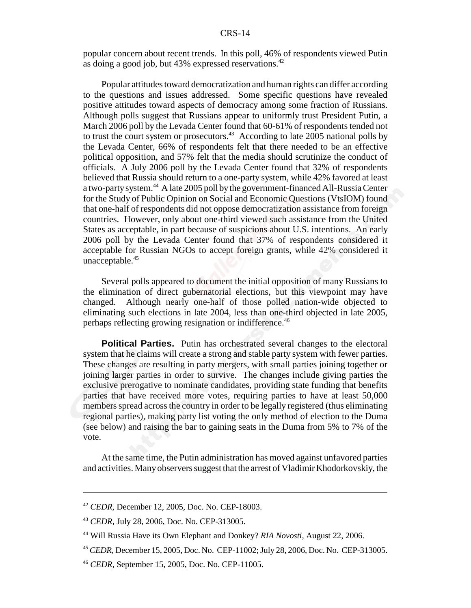popular concern about recent trends. In this poll, 46% of respondents viewed Putin as doing a good job, but 43% expressed reservations.42

Popular attitudes toward democratization and human rights can differ according to the questions and issues addressed. Some specific questions have revealed positive attitudes toward aspects of democracy among some fraction of Russians. Although polls suggest that Russians appear to uniformly trust President Putin, a March 2006 poll by the Levada Center found that 60-61% of respondents tended not to trust the court system or prosecutors.<sup>43</sup> According to late 2005 national polls by the Levada Center, 66% of respondents felt that there needed to be an effective political opposition, and 57% felt that the media should scrutinize the conduct of officials. A July 2006 poll by the Levada Center found that 32% of respondents believed that Russia should return to a one-party system, while 42% favored at least a two-party system.44 A late 2005 poll by the government-financed All-Russia Center for the Study of Public Opinion on Social and Economic Questions (VtsIOM) found that one-half of respondents did not oppose democratization assistance from foreign countries. However, only about one-third viewed such assistance from the United States as acceptable, in part because of suspicions about U.S. intentions. An early 2006 poll by the Levada Center found that 37% of respondents considered it acceptable for Russian NGOs to accept foreign grants, while 42% considered it unacceptable.<sup>45</sup>

Several polls appeared to document the initial opposition of many Russians to the elimination of direct gubernatorial elections, but this viewpoint may have changed. Although nearly one-half of those polled nation-wide objected to eliminating such elections in late 2004, less than one-third objected in late 2005, perhaps reflecting growing resignation or indifference.<sup>46</sup>

**Political Parties.** Putin has orchestrated several changes to the electoral system that he claims will create a strong and stable party system with fewer parties. These changes are resulting in party mergers, with small parties joining together or joining larger parties in order to survive. The changes include giving parties the exclusive prerogative to nominate candidates, providing state funding that benefits parties that have received more votes, requiring parties to have at least 50,000 members spread across the country in order to be legally registered (thus eliminating regional parties), making party list voting the only method of election to the Duma (see below) and raising the bar to gaining seats in the Duma from 5% to 7% of the vote.

At the same time, the Putin administration has moved against unfavored parties and activities. Many observers suggest that the arrest of Vladimir Khodorkovskiy, the

<sup>42</sup> *CEDR*, December 12, 2005, Doc. No. CEP-18003.

<sup>43</sup> *CEDR*, July 28, 2006, Doc. No. CEP-313005.

<sup>44</sup> Will Russia Have its Own Elephant and Donkey? *RIA Novosti*, August 22, 2006.

<sup>45</sup> *CEDR*, December 15, 2005, Doc. No. CEP-11002; July 28, 2006, Doc. No. CEP-313005.

<sup>46</sup> *CEDR*, September 15, 2005, Doc. No. CEP-11005.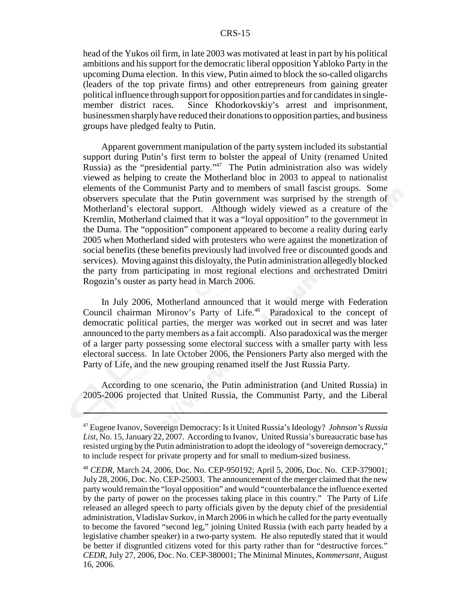head of the Yukos oil firm, in late 2003 was motivated at least in part by his political ambitions and his support for the democratic liberal opposition Yabloko Party in the upcoming Duma election. In this view, Putin aimed to block the so-called oligarchs (leaders of the top private firms) and other entrepreneurs from gaining greater political influence through support for opposition parties and for candidates in singlemember district races. Since Khodorkovskiy's arrest and imprisonment, businessmen sharply have reduced their donations to opposition parties, and business groups have pledged fealty to Putin.

Apparent government manipulation of the party system included its substantial support during Putin's first term to bolster the appeal of Unity (renamed United Russia) as the "presidential party."<sup>47</sup> The Putin administration also was widely viewed as helping to create the Motherland bloc in 2003 to appeal to nationalist elements of the Communist Party and to members of small fascist groups. Some observers speculate that the Putin government was surprised by the strength of Motherland's electoral support. Although widely viewed as a creature of the Kremlin, Motherland claimed that it was a "loyal opposition" to the government in the Duma. The "opposition" component appeared to become a reality during early 2005 when Motherland sided with protesters who were against the monetization of social benefits (these benefits previously had involved free or discounted goods and services). Moving against this disloyalty, the Putin administration allegedly blocked the party from participating in most regional elections and orchestrated Dmitri Rogozin's ouster as party head in March 2006.

In July 2006, Motherland announced that it would merge with Federation Council chairman Mironov's Party of Life.<sup>48</sup> Paradoxical to the concept of democratic political parties, the merger was worked out in secret and was later announced to the party members as a fait accompli. Also paradoxical was the merger of a larger party possessing some electoral success with a smaller party with less electoral success. In late October 2006, the Pensioners Party also merged with the Party of Life, and the new grouping renamed itself the Just Russia Party.

According to one scenario, the Putin administration (and United Russia) in 2005-2006 projected that United Russia, the Communist Party, and the Liberal

<sup>47</sup> Eugene Ivanov, Sovereign Democracy: Is it United Russia's Ideology? *Johnson's Russia List*, No. 15, January 22, 2007. According to Ivanov, United Russia's bureaucratic base has resisted urging by the Putin administration to adopt the ideology of "sovereign democracy," to include respect for private property and for small to medium-sized business.

<sup>48</sup> *CEDR*, March 24, 2006, Doc. No. CEP-950192; April 5, 2006, Doc. No. CEP-379001; July 28, 2006, Doc. No. CEP-25003. The announcement of the merger claimed that the new party would remain the "loyal opposition" and would "counterbalance the influence exerted by the party of power on the processes taking place in this country." The Party of Life released an alleged speech to party officials given by the deputy chief of the presidential administration, Vladislav Surkov, in March 2006 in which he called for the party eventually to become the favored "second leg," joining United Russia (with each party headed by a legislative chamber speaker) in a two-party system. He also reputedly stated that it would be better if disgruntled citizens voted for this party rather than for "destructive forces." *CEDR*, July 27, 2006, Doc. No. CEP-380001; The Minimal Minutes, *Kommersant*, August 16, 2006.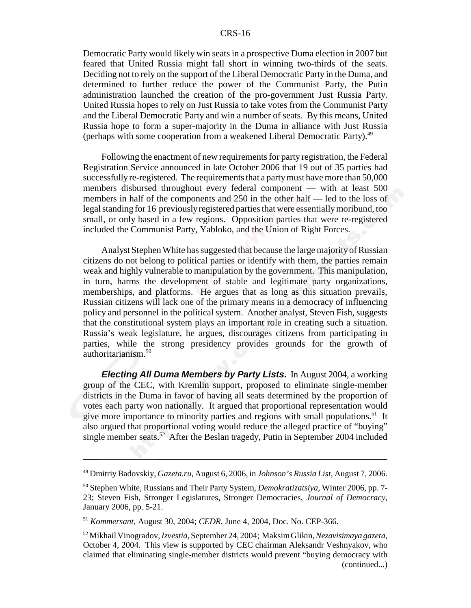Democratic Party would likely win seats in a prospective Duma election in 2007 but feared that United Russia might fall short in winning two-thirds of the seats. Deciding not to rely on the support of the Liberal Democratic Party in the Duma, and determined to further reduce the power of the Communist Party, the Putin administration launched the creation of the pro-government Just Russia Party. United Russia hopes to rely on Just Russia to take votes from the Communist Party and the Liberal Democratic Party and win a number of seats. By this means, United Russia hope to form a super-majority in the Duma in alliance with Just Russia (perhaps with some cooperation from a weakened Liberal Democratic Party).49

Following the enactment of new requirements for party registration, the Federal Registration Service announced in late October 2006 that 19 out of 35 parties had successfully re-registered. The requirements that a party must have more than 50,000 members disbursed throughout every federal component — with at least 500 members in half of the components and 250 in the other half — led to the loss of legal standing for 16 previously registered parties that were essentially moribund, too small, or only based in a few regions. Opposition parties that were re-registered included the Communist Party, Yabloko, and the Union of Right Forces.

Analyst Stephen White has suggested that because the large majority of Russian citizens do not belong to political parties or identify with them, the parties remain weak and highly vulnerable to manipulation by the government. This manipulation, in turn, harms the development of stable and legitimate party organizations, memberships, and platforms. He argues that as long as this situation prevails, Russian citizens will lack one of the primary means in a democracy of influencing policy and personnel in the political system. Another analyst, Steven Fish, suggests that the constitutional system plays an important role in creating such a situation. Russia's weak legislature, he argues, discourages citizens from participating in parties, while the strong presidency provides grounds for the growth of authoritarianism.<sup>50</sup>

*Electing All Duma Members by Party Lists.* In August 2004, a working group of the CEC, with Kremlin support, proposed to eliminate single-member districts in the Duma in favor of having all seats determined by the proportion of votes each party won nationally. It argued that proportional representation would give more importance to minority parties and regions with small populations.<sup>51</sup> It also argued that proportional voting would reduce the alleged practice of "buying" single member seats. $52$  After the Beslan tragedy, Putin in September 2004 included

<sup>49</sup> Dmitriy Badovskiy, *Gazeta.ru*, August 6, 2006, in *Johnson's Russia List*, August 7, 2006.

<sup>50</sup> Stephen White, Russians and Their Party System, *Demokratizatsiya*, Winter 2006, pp. 7- 23; Steven Fish, Stronger Legislatures, Stronger Democracies, *Journal of Democracy*, January 2006, pp. 5-21.

<sup>51</sup> *Kommersant*, August 30, 2004; *CEDR*, June 4, 2004, Doc. No. CEP-366.

<sup>52</sup> Mikhail Vinogradov, *Izvestia*, September 24, 2004; Maksim Glikin, *Nezavisimaya gazeta*, October 4, 2004. This view is supported by CEC chairman Aleksandr Veshnyakov, who claimed that eliminating single-member districts would prevent "buying democracy with (continued...)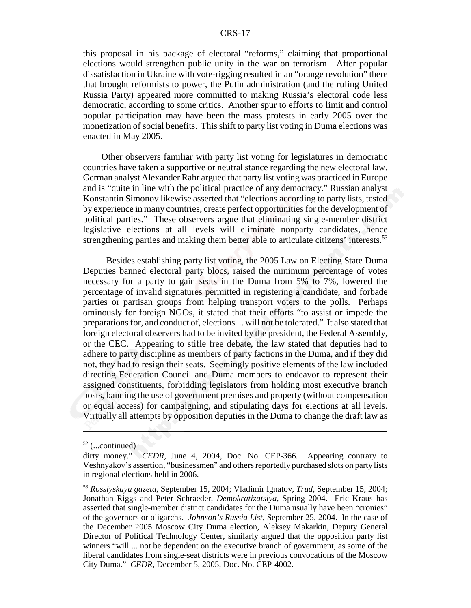this proposal in his package of electoral "reforms," claiming that proportional elections would strengthen public unity in the war on terrorism. After popular dissatisfaction in Ukraine with vote-rigging resulted in an "orange revolution" there that brought reformists to power, the Putin administration (and the ruling United Russia Party) appeared more committed to making Russia's electoral code less democratic, according to some critics. Another spur to efforts to limit and control popular participation may have been the mass protests in early 2005 over the monetization of social benefits. This shift to party list voting in Duma elections was enacted in May 2005.

Other observers familiar with party list voting for legislatures in democratic countries have taken a supportive or neutral stance regarding the new electoral law. German analyst Alexander Rahr argued that party list voting was practiced in Europe and is "quite in line with the political practice of any democracy." Russian analyst Konstantin Simonov likewise asserted that "elections according to party lists, tested by experience in many countries, create perfect opportunities for the development of political parties." These observers argue that eliminating single-member district legislative elections at all levels will eliminate nonparty candidates, hence strengthening parties and making them better able to articulate citizens' interests.<sup>53</sup>

 Besides establishing party list voting, the 2005 Law on Electing State Duma Deputies banned electoral party blocs, raised the minimum percentage of votes necessary for a party to gain seats in the Duma from 5% to 7%, lowered the percentage of invalid signatures permitted in registering a candidate, and forbade parties or partisan groups from helping transport voters to the polls. Perhaps ominously for foreign NGOs, it stated that their efforts "to assist or impede the preparations for, and conduct of, elections ... will not be tolerated." It also stated that foreign electoral observers had to be invited by the president, the Federal Assembly, or the CEC. Appearing to stifle free debate, the law stated that deputies had to adhere to party discipline as members of party factions in the Duma, and if they did not, they had to resign their seats. Seemingly positive elements of the law included directing Federation Council and Duma members to endeavor to represent their assigned constituents, forbidding legislators from holding most executive branch posts, banning the use of government premises and property (without compensation or equal access) for campaigning, and stipulating days for elections at all levels. Virtually all attempts by opposition deputies in the Duma to change the draft law as

 $52$  (...continued)

dirty money." *CEDR*, June 4, 2004, Doc. No. CEP-366. Appearing contrary to Veshnyakov's assertion, "businessmen" and others reportedly purchased slots on party lists in regional elections held in 2006.

<sup>53</sup> *Rossiyskaya gazeta*, September 15, 2004; Vladimir Ignatov, *Trud*, September 15, 2004; Jonathan Riggs and Peter Schraeder, *Demokratizatsiya*, Spring 2004. Eric Kraus has asserted that single-member district candidates for the Duma usually have been "cronies" of the governors or oligarchs. *Johnson's Russia List*, September 25, 2004. In the case of the December 2005 Moscow City Duma election, Aleksey Makarkin, Deputy General Director of Political Technology Center, similarly argued that the opposition party list winners "will ... not be dependent on the executive branch of government, as some of the liberal candidates from single-seat districts were in previous convocations of the Moscow City Duma." *CEDR*, December 5, 2005, Doc. No. CEP-4002.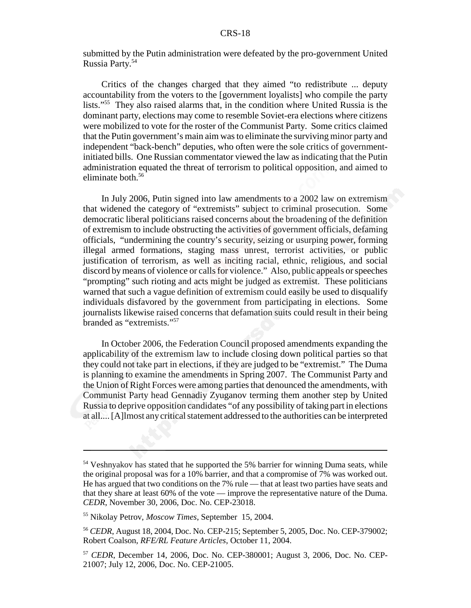submitted by the Putin administration were defeated by the pro-government United Russia Party.54

Critics of the changes charged that they aimed "to redistribute ... deputy accountability from the voters to the [government loyalists] who compile the party lists."55 They also raised alarms that, in the condition where United Russia is the dominant party, elections may come to resemble Soviet-era elections where citizens were mobilized to vote for the roster of the Communist Party. Some critics claimed that the Putin government's main aim was to eliminate the surviving minor party and independent "back-bench" deputies, who often were the sole critics of governmentinitiated bills. One Russian commentator viewed the law as indicating that the Putin administration equated the threat of terrorism to political opposition, and aimed to eliminate both.<sup>56</sup>

In July 2006, Putin signed into law amendments to a 2002 law on extremism that widened the category of "extremists" subject to criminal prosecution. Some democratic liberal politicians raised concerns about the broadening of the definition of extremism to include obstructing the activities of government officials, defaming officials, "undermining the country's security, seizing or usurping power, forming illegal armed formations, staging mass unrest, terrorist activities, or public justification of terrorism, as well as inciting racial, ethnic, religious, and social discord by means of violence or calls for violence." Also, public appeals or speeches "prompting" such rioting and acts might be judged as extremist. These politicians warned that such a vague definition of extremism could easily be used to disqualify individuals disfavored by the government from participating in elections. Some journalists likewise raised concerns that defamation suits could result in their being branded as "extremists."57

In October 2006, the Federation Council proposed amendments expanding the applicability of the extremism law to include closing down political parties so that they could not take part in elections, if they are judged to be "extremist." The Duma is planning to examine the amendments in Spring 2007. The Communist Party and the Union of Right Forces were among parties that denounced the amendments, with Communist Party head Gennadiy Zyuganov terming them another step by United Russia to deprive opposition candidates "of any possibility of taking part in elections at all.... [A]lmost any critical statement addressed to the authorities can be interpreted

<sup>&</sup>lt;sup>54</sup> Veshnyakov has stated that he supported the 5% barrier for winning Duma seats, while the original proposal was for a 10% barrier, and that a compromise of 7% was worked out. He has argued that two conditions on the 7% rule — that at least two parties have seats and that they share at least 60% of the vote — improve the representative nature of the Duma. *CEDR*, November 30, 2006, Doc. No. CEP-23018.

<sup>55</sup> Nikolay Petrov, *Moscow Times*, September 15, 2004.

<sup>56</sup> *CEDR*, August 18, 2004, Doc. No. CEP-215; September 5, 2005, Doc. No. CEP-379002; Robert Coalson, *RFE/RL Feature Articles*, October 11, 2004.

<sup>57</sup> *CEDR*, December 14, 2006, Doc. No. CEP-380001; August 3, 2006, Doc. No. CEP-21007; July 12, 2006, Doc. No. CEP-21005.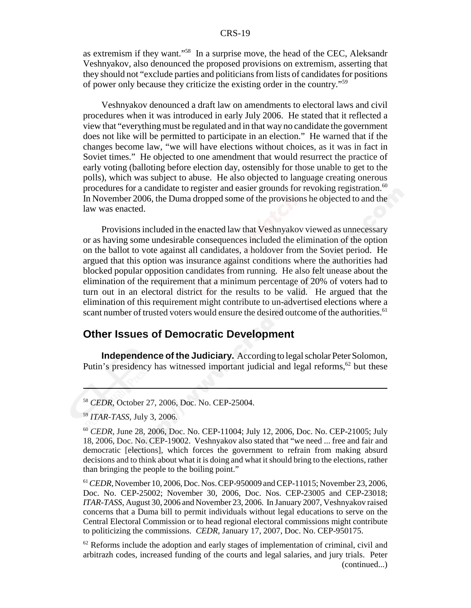as extremism if they want."58 In a surprise move, the head of the CEC, Aleksandr Veshnyakov, also denounced the proposed provisions on extremism, asserting that they should not "exclude parties and politicians from lists of candidates for positions of power only because they criticize the existing order in the country."59

Veshnyakov denounced a draft law on amendments to electoral laws and civil procedures when it was introduced in early July 2006. He stated that it reflected a view that "everything must be regulated and in that way no candidate the government does not like will be permitted to participate in an election." He warned that if the changes become law, "we will have elections without choices, as it was in fact in Soviet times." He objected to one amendment that would resurrect the practice of early voting (balloting before election day, ostensibly for those unable to get to the polls), which was subject to abuse. He also objected to language creating onerous procedures for a candidate to register and easier grounds for revoking registration.<sup>60</sup> In November 2006, the Duma dropped some of the provisions he objected to and the law was enacted.

Provisions included in the enacted law that Veshnyakov viewed as unnecessary or as having some undesirable consequences included the elimination of the option on the ballot to vote against all candidates, a holdover from the Soviet period. He argued that this option was insurance against conditions where the authorities had blocked popular opposition candidates from running. He also felt unease about the elimination of the requirement that a minimum percentage of 20% of voters had to turn out in an electoral district for the results to be valid. He argued that the elimination of this requirement might contribute to un-advertised elections where a scant number of trusted voters would ensure the desired outcome of the authorities.<sup>61</sup>

## **Other Issues of Democratic Development**

**Independence of the Judiciary.** According to legal scholar Peter Solomon, Putin's presidency has witnessed important judicial and legal reforms,<sup> $62$ </sup> but these

<sup>58</sup> *CEDR*, October 27, 2006, Doc. No. CEP-25004.

<sup>59</sup> *ITAR-TASS*, July 3, 2006.

<sup>60</sup> *CEDR*, June 28, 2006, Doc. No. CEP-11004; July 12, 2006, Doc. No. CEP-21005; July 18, 2006, Doc. No. CEP-19002. Veshnyakov also stated that "we need ... free and fair and democratic [elections], which forces the government to refrain from making absurd decisions and to think about what it is doing and what it should bring to the elections, rather than bringing the people to the boiling point."

<sup>61</sup>*CEDR*, November 10, 2006, Doc. Nos. CEP-950009 and CEP-11015; November 23, 2006, Doc. No. CEP-25002; November 30, 2006, Doc. Nos. CEP-23005 and CEP-23018; *ITAR-TASS*, August 30, 2006 and November 23, 2006. In January 2007, Veshnyakov raised concerns that a Duma bill to permit individuals without legal educations to serve on the Central Electoral Commission or to head regional electoral commissions might contribute to politicizing the commissions. *CEDR*, January 17, 2007, Doc. No. CEP-950175.

 $62$  Reforms include the adoption and early stages of implementation of criminal, civil and arbitrazh codes, increased funding of the courts and legal salaries, and jury trials. Peter (continued...)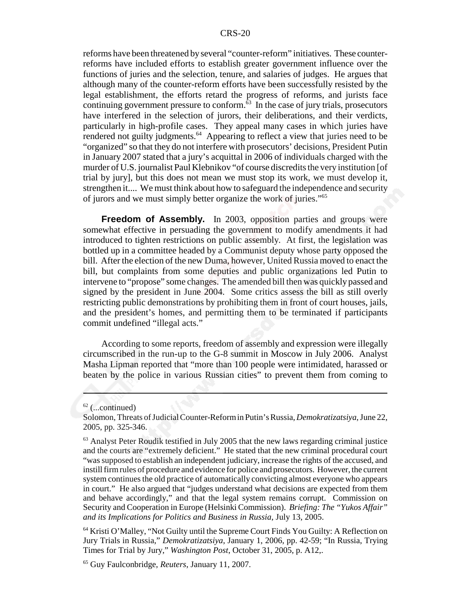reforms have been threatened by several "counter-reform" initiatives. These counterreforms have included efforts to establish greater government influence over the functions of juries and the selection, tenure, and salaries of judges. He argues that although many of the counter-reform efforts have been successfully resisted by the legal establishment, the efforts retard the progress of reforms, and jurists face continuing government pressure to conform. $63$  In the case of jury trials, prosecutors have interfered in the selection of jurors, their deliberations, and their verdicts, particularly in high-profile cases. They appeal many cases in which juries have rendered not guilty judgments.<sup>64</sup> Appearing to reflect a view that juries need to be "organized" so that they do not interfere with prosecutors' decisions, President Putin in January 2007 stated that a jury's acquittal in 2006 of individuals charged with the murder of U.S. journalist Paul Klebnikov "of course discredits the very institution [of trial by jury], but this does not mean we must stop its work, we must develop it, strengthen it.... We must think about how to safeguard the independence and security of jurors and we must simply better organize the work of juries."65

**Freedom of Assembly.** In 2003, opposition parties and groups were somewhat effective in persuading the government to modify amendments it had introduced to tighten restrictions on public assembly. At first, the legislation was bottled up in a committee headed by a Communist deputy whose party opposed the bill. After the election of the new Duma, however, United Russia moved to enact the bill, but complaints from some deputies and public organizations led Putin to intervene to "propose" some changes. The amended bill then was quickly passed and signed by the president in June 2004. Some critics assess the bill as still overly restricting public demonstrations by prohibiting them in front of court houses, jails, and the president's homes, and permitting them to be terminated if participants commit undefined "illegal acts."

According to some reports, freedom of assembly and expression were illegally circumscribed in the run-up to the G-8 summit in Moscow in July 2006. Analyst Masha Lipman reported that "more than 100 people were intimidated, harassed or beaten by the police in various Russian cities" to prevent them from coming to

 $62$  (...continued)

Solomon, Threats of Judicial Counter-Reform in Putin's Russia, *Demokratizatsiya*, June 22, 2005, pp. 325-346.

 $<sup>63</sup>$  Analyst Peter Roudik testified in July 2005 that the new laws regarding criminal justice</sup> and the courts are "extremely deficient." He stated that the new criminal procedural court "was supposed to establish an independent judiciary, increase the rights of the accused, and instill firm rules of procedure and evidence for police and prosecutors. However, the current system continues the old practice of automatically convicting almost everyone who appears in court." He also argued that "judges understand what decisions are expected from them and behave accordingly," and that the legal system remains corrupt. Commission on Security and Cooperation in Europe (Helsinki Commission). *Briefing: The "Yukos Affair" and its Implications for Politics and Business in Russia*, July 13, 2005.

<sup>64</sup> Kristi O'Malley, "Not Guilty until the Supreme Court Finds You Guilty: A Reflection on Jury Trials in Russia," *Demokratizatsiya*, January 1, 2006, pp. 42-59; "In Russia, Trying Times for Trial by Jury," *Washington Post*, October 31, 2005, p. A12,.

<sup>65</sup> Guy Faulconbridge, *Reuters*, January 11, 2007.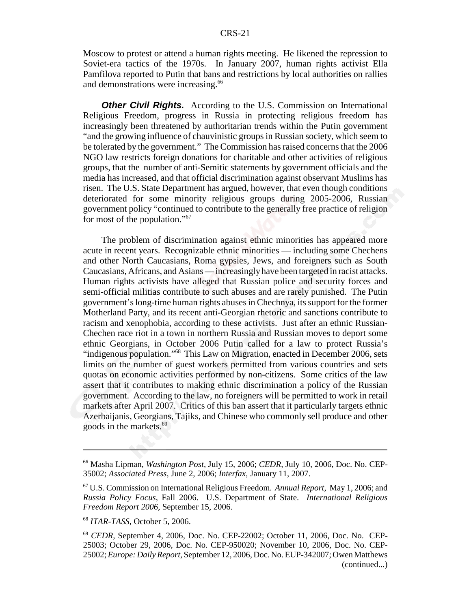Moscow to protest or attend a human rights meeting. He likened the repression to Soviet-era tactics of the 1970s. In January 2007, human rights activist Ella Pamfilova reported to Putin that bans and restrictions by local authorities on rallies and demonstrations were increasing.<sup>66</sup>

**Other Civil Rights.** According to the U.S. Commission on International Religious Freedom, progress in Russia in protecting religious freedom has increasingly been threatened by authoritarian trends within the Putin government "and the growing influence of chauvinistic groups in Russian society, which seem to be tolerated by the government." The Commission has raised concerns that the 2006 NGO law restricts foreign donations for charitable and other activities of religious groups, that the number of anti-Semitic statements by government officials and the media has increased, and that official discrimination against observant Muslims has risen. The U.S. State Department has argued, however, that even though conditions deteriorated for some minority religious groups during 2005-2006, Russian government policy "continued to contribute to the generally free practice of religion for most of the population."67

The problem of discrimination against ethnic minorities has appeared more acute in recent years. Recognizable ethnic minorities — including some Chechens and other North Caucasians, Roma gypsies, Jews, and foreigners such as South Caucasians, Africans, and Asians — increasingly have been targeted in racist attacks. Human rights activists have alleged that Russian police and security forces and semi-official militias contribute to such abuses and are rarely punished. The Putin government's long-time human rights abuses in Chechnya, its support for the former Motherland Party, and its recent anti-Georgian rhetoric and sanctions contribute to racism and xenophobia, according to these activists. Just after an ethnic Russian-Chechen race riot in a town in northern Russia and Russian moves to deport some ethnic Georgians, in October 2006 Putin called for a law to protect Russia's "indigenous population."68 This Law on Migration, enacted in December 2006, sets limits on the number of guest workers permitted from various countries and sets quotas on economic activities performed by non-citizens. Some critics of the law assert that it contributes to making ethnic discrimination a policy of the Russian government. According to the law, no foreigners will be permitted to work in retail markets after April 2007. Critics of this ban assert that it particularly targets ethnic Azerbaijanis, Georgians, Tajiks, and Chinese who commonly sell produce and other goods in the markets.69

<sup>66</sup> Masha Lipman, *Washington Post*, July 15, 2006; *CEDR*, July 10, 2006, Doc. No. CEP-35002; *Associated Press*, June 2, 2006; *Interfax*, January 11, 2007.

<sup>67</sup> U.S. Commission on International Religious Freedom. *Annual Report*, May 1, 2006; and *Russia Policy Focus*, Fall 2006. U.S. Department of State. *International Religious Freedom Report 2006*, September 15, 2006.

<sup>68</sup> *ITAR-TASS*, October 5, 2006.

<sup>69</sup> *CEDR*, September 4, 2006, Doc. No. CEP-22002; October 11, 2006, Doc. No. CEP-25003; October 29, 2006, Doc. No. CEP-950020; November 10, 2006, Doc. No. CEP-25002; *Europe: Daily Report*, September 12, 2006, Doc. No. EUP-342007; Owen Matthews (continued...)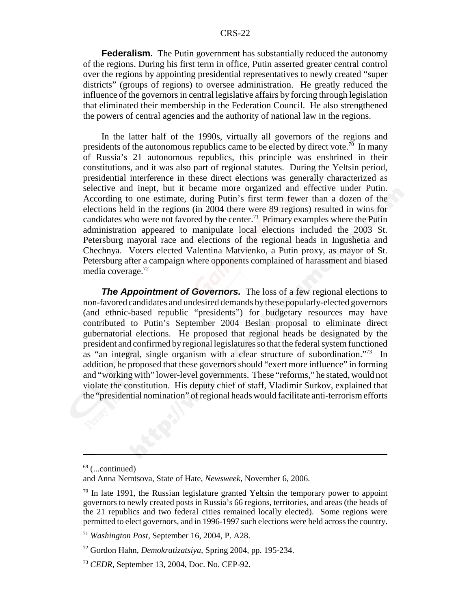**Federalism.** The Putin government has substantially reduced the autonomy of the regions. During his first term in office, Putin asserted greater central control over the regions by appointing presidential representatives to newly created "super districts" (groups of regions) to oversee administration. He greatly reduced the influence of the governors in central legislative affairs by forcing through legislation that eliminated their membership in the Federation Council. He also strengthened the powers of central agencies and the authority of national law in the regions.

In the latter half of the 1990s, virtually all governors of the regions and presidents of the autonomous republics came to be elected by direct vote.<sup>70</sup> In many of Russia's 21 autonomous republics, this principle was enshrined in their constitutions, and it was also part of regional statutes. During the Yeltsin period, presidential interference in these direct elections was generally characterized as selective and inept, but it became more organized and effective under Putin. According to one estimate, during Putin's first term fewer than a dozen of the elections held in the regions (in 2004 there were 89 regions) resulted in wins for candidates who were not favored by the center.<sup>71</sup> Primary examples where the Putin administration appeared to manipulate local elections included the 2003 St. Petersburg mayoral race and elections of the regional heads in Ingushetia and Chechnya. Voters elected Valentina Matvienko, a Putin proxy, as mayor of St. Petersburg after a campaign where opponents complained of harassment and biased media coverage.<sup>72</sup>

**The Appointment of Governors.** The loss of a few regional elections to non-favored candidates and undesired demands by these popularly-elected governors (and ethnic-based republic "presidents") for budgetary resources may have contributed to Putin's September 2004 Beslan proposal to eliminate direct gubernatorial elections. He proposed that regional heads be designated by the president and confirmed by regional legislatures so that the federal system functioned as "an integral, single organism with a clear structure of subordination."73 In addition, he proposed that these governors should "exert more influence" in forming and "working with" lower-level governments. These "reforms," he stated, would not violate the constitution. His deputy chief of staff, Vladimir Surkov, explained that the "presidential nomination" of regional heads would facilitate anti-terrorism efforts

 $69$  (...continued)

and Anna Nemtsova, State of Hate, *Newsweek*, November 6, 2006.

 $70$  In late 1991, the Russian legislature granted Yeltsin the temporary power to appoint governors to newly created posts in Russia's 66 regions, territories, and areas (the heads of the 21 republics and two federal cities remained locally elected). Some regions were permitted to elect governors, and in 1996-1997 such elections were held across the country.

<sup>71</sup> *Washington Post*, September 16, 2004, P. A28.

<sup>72</sup> Gordon Hahn, *Demokratizatsiya*, Spring 2004, pp. 195-234.

<sup>73</sup> *CEDR*, September 13, 2004, Doc. No. CEP-92.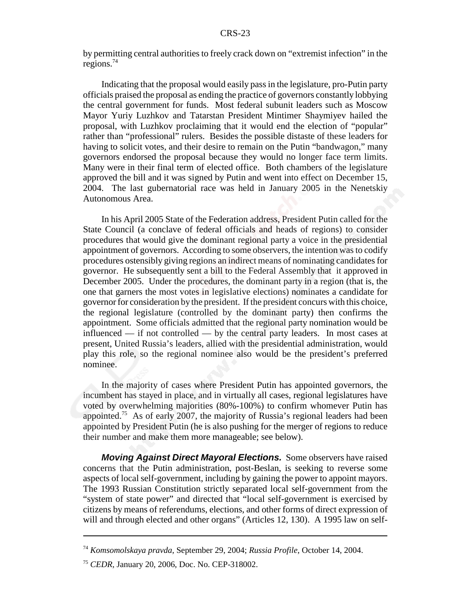by permitting central authorities to freely crack down on "extremist infection" in the regions. $74$ 

Indicating that the proposal would easily pass in the legislature, pro-Putin party officials praised the proposal as ending the practice of governors constantly lobbying the central government for funds. Most federal subunit leaders such as Moscow Mayor Yuriy Luzhkov and Tatarstan President Mintimer Shaymiyev hailed the proposal, with Luzhkov proclaiming that it would end the election of "popular" rather than "professional" rulers. Besides the possible distaste of these leaders for having to solicit votes, and their desire to remain on the Putin "bandwagon," many governors endorsed the proposal because they would no longer face term limits. Many were in their final term of elected office. Both chambers of the legislature approved the bill and it was signed by Putin and went into effect on December 15, 2004. The last gubernatorial race was held in January 2005 in the Nenetskiy Autonomous Area.

In his April 2005 State of the Federation address, President Putin called for the State Council (a conclave of federal officials and heads of regions) to consider procedures that would give the dominant regional party a voice in the presidential appointment of governors. According to some observers, the intention was to codify procedures ostensibly giving regions an indirect means of nominating candidates for governor. He subsequently sent a bill to the Federal Assembly that it approved in December 2005. Under the procedures, the dominant party in a region (that is, the one that garners the most votes in legislative elections) nominates a candidate for governor for consideration by the president. If the president concurs with this choice, the regional legislature (controlled by the dominant party) then confirms the appointment. Some officials admitted that the regional party nomination would be influenced — if not controlled — by the central party leaders. In most cases at present, United Russia's leaders, allied with the presidential administration, would play this role, so the regional nominee also would be the president's preferred nominee.

In the majority of cases where President Putin has appointed governors, the incumbent has stayed in place, and in virtually all cases, regional legislatures have voted by overwhelming majorities (80%-100%) to confirm whomever Putin has appointed.75 As of early 2007, the majority of Russia's regional leaders had been appointed by President Putin (he is also pushing for the merger of regions to reduce their number and make them more manageable; see below).

*Moving Against Direct Mayoral Elections.* Some observers have raised concerns that the Putin administration, post-Beslan, is seeking to reverse some aspects of local self-government, including by gaining the power to appoint mayors. The 1993 Russian Constitution strictly separated local self-government from the "system of state power" and directed that "local self-government is exercised by citizens by means of referendums, elections, and other forms of direct expression of will and through elected and other organs" (Articles 12, 130). A 1995 law on self-

<sup>74</sup> *Komsomolskaya pravda*, September 29, 2004; *Russia Profile*, October 14, 2004.

<sup>75</sup> *CEDR*, January 20, 2006, Doc. No. CEP-318002.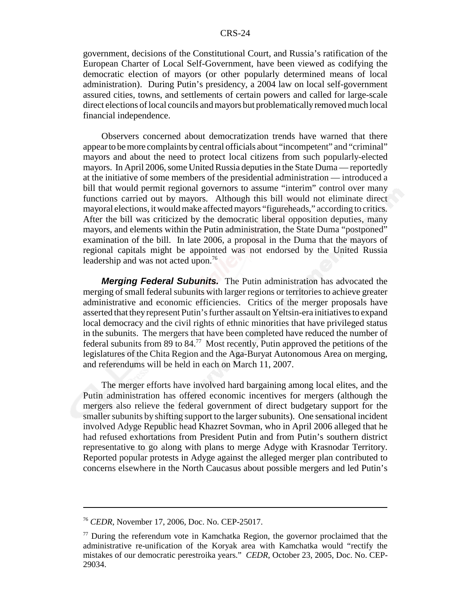government, decisions of the Constitutional Court, and Russia's ratification of the European Charter of Local Self-Government, have been viewed as codifying the democratic election of mayors (or other popularly determined means of local administration). During Putin's presidency, a 2004 law on local self-government assured cities, towns, and settlements of certain powers and called for large-scale direct elections of local councils and mayors but problematically removed much local financial independence.

Observers concerned about democratization trends have warned that there appear to be more complaints by central officials about "incompetent" and "criminal" mayors and about the need to protect local citizens from such popularly-elected mayors. In April 2006, some United Russia deputies in the State Duma — reportedly at the initiative of some members of the presidential administration — introduced a bill that would permit regional governors to assume "interim" control over many functions carried out by mayors. Although this bill would not eliminate direct mayoral elections, it would make affected mayors "figureheads," according to critics. After the bill was criticized by the democratic liberal opposition deputies, many mayors, and elements within the Putin administration, the State Duma "postponed" examination of the bill. In late 2006, a proposal in the Duma that the mayors of regional capitals might be appointed was not endorsed by the United Russia leadership and was not acted upon.<sup>76</sup>

*Merging Federal Subunits.* The Putin administration has advocated the merging of small federal subunits with larger regions or territories to achieve greater administrative and economic efficiencies. Critics of the merger proposals have asserted that they represent Putin's further assault on Yeltsin-era initiatives to expand local democracy and the civil rights of ethnic minorities that have privileged status in the subunits. The mergers that have been completed have reduced the number of federal subunits from 89 to 84.<sup>77</sup> Most recently, Putin approved the petitions of the legislatures of the Chita Region and the Aga-Buryat Autonomous Area on merging, and referendums will be held in each on March 11, 2007.

The merger efforts have involved hard bargaining among local elites, and the Putin administration has offered economic incentives for mergers (although the mergers also relieve the federal government of direct budgetary support for the smaller subunits by shifting support to the larger subunits). One sensational incident involved Adyge Republic head Khazret Sovman, who in April 2006 alleged that he had refused exhortations from President Putin and from Putin's southern district representative to go along with plans to merge Adyge with Krasnodar Territory. Reported popular protests in Adyge against the alleged merger plan contributed to concerns elsewhere in the North Caucasus about possible mergers and led Putin's

<sup>76</sup> *CEDR*, November 17, 2006, Doc. No. CEP-25017.

 $77$  During the referendum vote in Kamchatka Region, the governor proclaimed that the administrative re-unification of the Koryak area with Kamchatka would "rectify the mistakes of our democratic perestroika years." *CEDR*, October 23, 2005, Doc. No. CEP-29034.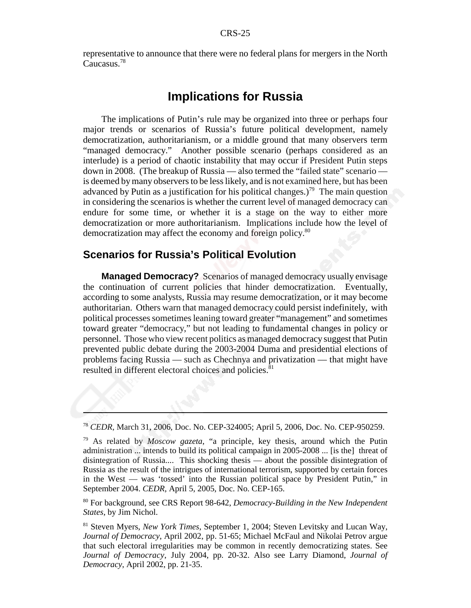representative to announce that there were no federal plans for mergers in the North Caucasus.78

## **Implications for Russia**

The implications of Putin's rule may be organized into three or perhaps four major trends or scenarios of Russia's future political development, namely democratization, authoritarianism, or a middle ground that many observers term "managed democracy." Another possible scenario (perhaps considered as an interlude) is a period of chaotic instability that may occur if President Putin steps down in 2008. (The breakup of Russia — also termed the "failed state" scenario is deemed by many observers to be less likely, and is not examined here, but has been advanced by Putin as a justification for his political changes.)<sup>79</sup> The main question in considering the scenarios is whether the current level of managed democracy can endure for some time, or whether it is a stage on the way to either more democratization or more authoritarianism. Implications include how the level of democratization may affect the economy and foreign policy.<sup>80</sup>

## **Scenarios for Russia's Political Evolution**

**Managed Democracy?** Scenarios of managed democracy usually envisage the continuation of current policies that hinder democratization. Eventually, according to some analysts, Russia may resume democratization, or it may become authoritarian. Others warn that managed democracy could persist indefinitely, with political processes sometimes leaning toward greater "management" and sometimes toward greater "democracy," but not leading to fundamental changes in policy or personnel. Those who view recent politics as managed democracy suggest that Putin prevented public debate during the 2003-2004 Duma and presidential elections of problems facing Russia — such as Chechnya and privatization — that might have resulted in different electoral choices and policies.<sup>81</sup>

80 For background, see CRS Report 98-642, *Democracy-Building in the New Independent States*, by Jim Nichol.

81 Steven Myers, *New York Times*, September 1, 2004; Steven Levitsky and Lucan Way, *Journal of Democracy*, April 2002, pp. 51-65; Michael McFaul and Nikolai Petrov argue that such electoral irregularities may be common in recently democratizing states. See *Journal of Democracy*, July 2004, pp. 20-32. Also see Larry Diamond, *Journal of Democracy*, April 2002, pp. 21-35.

<sup>78</sup> *CEDR*, March 31, 2006, Doc. No. CEP-324005; April 5, 2006, Doc. No. CEP-950259.

<sup>79</sup> As related by *Moscow gazeta*, "a principle, key thesis, around which the Putin administration ... intends to build its political campaign in 2005-2008 ... [is the] threat of disintegration of Russia.... This shocking thesis — about the possible disintegration of Russia as the result of the intrigues of international terrorism, supported by certain forces in the West — was 'tossed' into the Russian political space by President Putin," in September 2004. *CEDR*, April 5, 2005, Doc. No. CEP-165.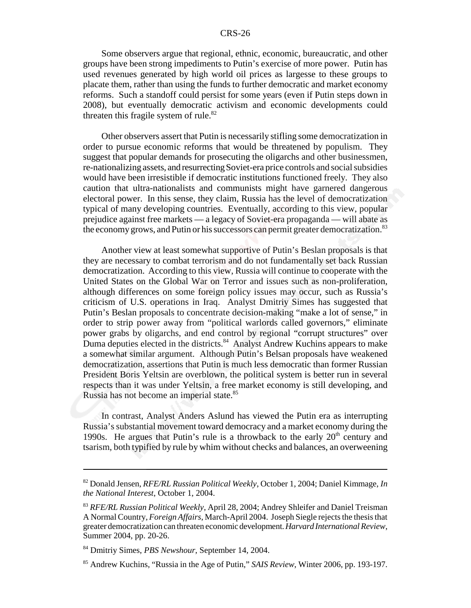Some observers argue that regional, ethnic, economic, bureaucratic, and other groups have been strong impediments to Putin's exercise of more power. Putin has used revenues generated by high world oil prices as largesse to these groups to placate them, rather than using the funds to further democratic and market economy reforms. Such a standoff could persist for some years (even if Putin steps down in 2008), but eventually democratic activism and economic developments could threaten this fragile system of rule. $82$ 

Other observers assert that Putin is necessarily stifling some democratization in order to pursue economic reforms that would be threatened by populism. They suggest that popular demands for prosecuting the oligarchs and other businessmen, re-nationalizing assets, and resurrecting Soviet-era price controls and social subsidies would have been irresistible if democratic institutions functioned freely. They also caution that ultra-nationalists and communists might have garnered dangerous electoral power. In this sense, they claim, Russia has the level of democratization typical of many developing countries. Eventually, according to this view, popular prejudice against free markets — a legacy of Soviet-era propaganda — will abate as the economy grows, and Putin or his successors can permit greater democratization.<sup>83</sup>

Another view at least somewhat supportive of Putin's Beslan proposals is that they are necessary to combat terrorism and do not fundamentally set back Russian democratization. According to this view, Russia will continue to cooperate with the United States on the Global War on Terror and issues such as non-proliferation, although differences on some foreign policy issues may occur, such as Russia's criticism of U.S. operations in Iraq. Analyst Dmitriy Simes has suggested that Putin's Beslan proposals to concentrate decision-making "make a lot of sense," in order to strip power away from "political warlords called governors," eliminate power grabs by oligarchs, and end control by regional "corrupt structures" over Duma deputies elected in the districts.<sup>84</sup> Analyst Andrew Kuchins appears to make a somewhat similar argument. Although Putin's Belsan proposals have weakened democratization, assertions that Putin is much less democratic than former Russian President Boris Yeltsin are overblown, the political system is better run in several respects than it was under Yeltsin, a free market economy is still developing, and Russia has not become an imperial state.<sup>85</sup>

In contrast, Analyst Anders Aslund has viewed the Putin era as interrupting Russia's substantial movement toward democracy and a market economy during the 1990s. He argues that Putin's rule is a throwback to the early  $20<sup>th</sup>$  century and tsarism, both typified by rule by whim without checks and balances, an overweening

<sup>82</sup> Donald Jensen, *RFE/RL Russian Political Weekly*, October 1, 2004; Daniel Kimmage, *In the National Interest*, October 1, 2004.

<sup>83</sup> *RFE/RL Russian Political Weekly*, April 28, 2004; Andrey Shleifer and Daniel Treisman A Normal Country, *Foreign Affairs*, March-April 2004. Joseph Siegle rejects the thesis that greater democratization can threaten economic development. *Harvard International Review*, Summer 2004, pp. 20-26.

<sup>84</sup> Dmitriy Simes, *PBS Newshour*, September 14, 2004.

<sup>85</sup> Andrew Kuchins, "Russia in the Age of Putin," *SAIS Review*, Winter 2006, pp. 193-197.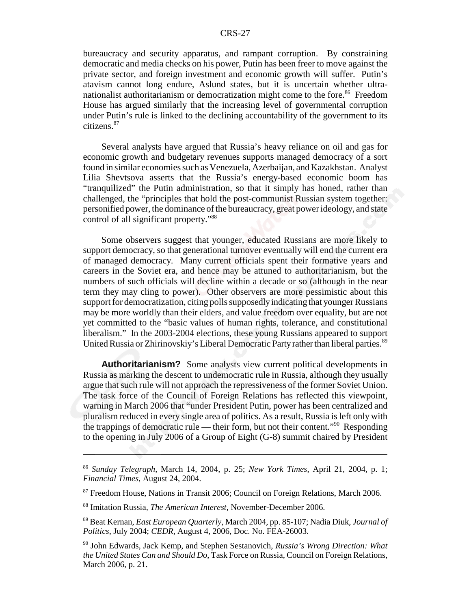bureaucracy and security apparatus, and rampant corruption. By constraining democratic and media checks on his power, Putin has been freer to move against the private sector, and foreign investment and economic growth will suffer. Putin's atavism cannot long endure, Aslund states, but it is uncertain whether ultranationalist authoritarianism or democratization might come to the fore.<sup>86</sup> Freedom House has argued similarly that the increasing level of governmental corruption under Putin's rule is linked to the declining accountability of the government to its citizens.87

Several analysts have argued that Russia's heavy reliance on oil and gas for economic growth and budgetary revenues supports managed democracy of a sort found in similar economies such as Venezuela, Azerbaijan, and Kazakhstan. Analyst Lilia Shevtsova asserts that the Russia's energy-based economic boom has "tranquilized" the Putin administration, so that it simply has honed, rather than challenged, the "principles that hold the post-communist Russian system together: personified power, the dominance of the bureaucracy, great power ideology, and state control of all significant property."88

Some observers suggest that younger, educated Russians are more likely to support democracy, so that generational turnover eventually will end the current era of managed democracy. Many current officials spent their formative years and careers in the Soviet era, and hence may be attuned to authoritarianism, but the numbers of such officials will decline within a decade or so (although in the near term they may cling to power). Other observers are more pessimistic about this support for democratization, citing polls supposedly indicating that younger Russians may be more worldly than their elders, and value freedom over equality, but are not yet committed to the "basic values of human rights, tolerance, and constitutional liberalism." In the 2003-2004 elections, these young Russians appeared to support United Russia or Zhirinovskiy's Liberal Democratic Party rather than liberal parties.<sup>89</sup>

**Authoritarianism?** Some analysts view current political developments in Russia as marking the descent to undemocratic rule in Russia, although they usually argue that such rule will not approach the repressiveness of the former Soviet Union. The task force of the Council of Foreign Relations has reflected this viewpoint, warning in March 2006 that "under President Putin, power has been centralized and pluralism reduced in every single area of politics. As a result, Russia is left only with the trappings of democratic rule — their form, but not their content."90 Responding to the opening in July 2006 of a Group of Eight (G-8) summit chaired by President

<sup>86</sup> *Sunday Telegraph*, March 14, 2004, p. 25; *New York Times*, April 21, 2004, p. 1; *Financial Times*, August 24, 2004.

<sup>&</sup>lt;sup>87</sup> Freedom House, Nations in Transit 2006; Council on Foreign Relations, March 2006.

<sup>88</sup> Imitation Russia, *The American Interest*, November-December 2006.

<sup>89</sup> Beat Kernan, *East European Quarterly*, March 2004, pp. 85-107; Nadia Diuk, *Journal of Politics*, July 2004; *CEDR*, August 4, 2006, Doc. No. FEA-26003.

<sup>90</sup> John Edwards, Jack Kemp, and Stephen Sestanovich, *Russia's Wrong Direction: What the United States Can and Should Do*, Task Force on Russia, Council on Foreign Relations, March 2006, p. 21.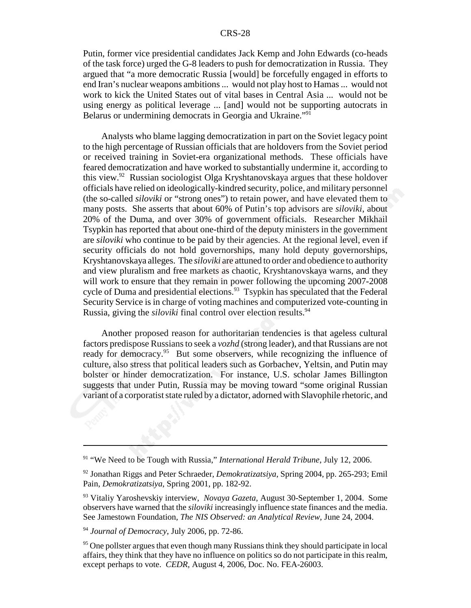Putin, former vice presidential candidates Jack Kemp and John Edwards (co-heads of the task force) urged the G-8 leaders to push for democratization in Russia. They argued that "a more democratic Russia [would] be forcefully engaged in efforts to end Iran's nuclear weapons ambitions ... would not play host to Hamas ... would not work to kick the United States out of vital bases in Central Asia ... would not be using energy as political leverage ... [and] would not be supporting autocrats in Belarus or undermining democrats in Georgia and Ukraine."91

Analysts who blame lagging democratization in part on the Soviet legacy point to the high percentage of Russian officials that are holdovers from the Soviet period or received training in Soviet-era organizational methods. These officials have feared democratization and have worked to substantially undermine it, according to this view.92 Russian sociologist Olga Kryshtanovskaya argues that these holdover officials have relied on ideologically-kindred security, police, and military personnel (the so-called *siloviki* or "strong ones") to retain power, and have elevated them to many posts. She asserts that about 60% of Putin's top advisors are *siloviki*, about 20% of the Duma, and over 30% of government officials. Researcher Mikhail Tsypkin has reported that about one-third of the deputy ministers in the government are *siloviki* who continue to be paid by their agencies. At the regional level, even if security officials do not hold governorships, many hold deputy governorships, Kryshtanovskaya alleges. The *siloviki* are attuned to order and obedience to authority and view pluralism and free markets as chaotic, Kryshtanovskaya warns, and they will work to ensure that they remain in power following the upcoming 2007-2008 cycle of Duma and presidential elections.<sup>93</sup> Tsypkin has speculated that the Federal Security Service is in charge of voting machines and computerized vote-counting in Russia, giving the *siloviki* final control over election results.<sup>94</sup>

Another proposed reason for authoritarian tendencies is that ageless cultural factors predispose Russians to seek a *vozhd* (strong leader), and that Russians are not ready for democracy.<sup>95</sup> But some observers, while recognizing the influence of culture, also stress that political leaders such as Gorbachev, Yeltsin, and Putin may bolster or hinder democratization. For instance, U.S. scholar James Billington suggests that under Putin, Russia may be moving toward "some original Russian variant of a corporatist state ruled by a dictator, adorned with Slavophile rhetoric, and

<sup>91 &</sup>quot;We Need to be Tough with Russia," *International Herald Tribune*, July 12, 2006.

<sup>92</sup> Jonathan Riggs and Peter Schraeder, *Demokratizatsiya*, Spring 2004, pp. 265-293; Emil Pain, *Demokratizatsiya*, Spring 2001, pp. 182-92.

<sup>93</sup> Vitaliy Yaroshevskiy interview, *Novaya Gazeta*, August 30-September 1, 2004. Some observers have warned that the *siloviki* increasingly influence state finances and the media. See Jamestown Foundation, *The NIS Observed: an Analytical Review*, June 24, 2004.

<sup>94</sup> *Journal of Democracy*, July 2006, pp. 72-86.

<sup>&</sup>lt;sup>95</sup> One pollster argues that even though many Russians think they should participate in local affairs, they think that they have no influence on politics so do not participate in this realm, except perhaps to vote. *CEDR*, August 4, 2006, Doc. No. FEA-26003.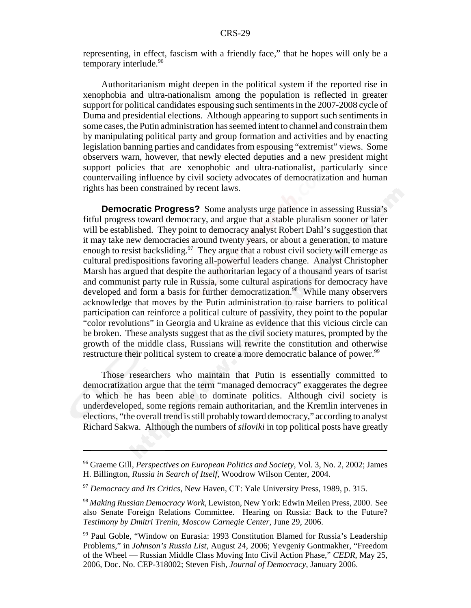representing, in effect, fascism with a friendly face," that he hopes will only be a temporary interlude.<sup>96</sup>

Authoritarianism might deepen in the political system if the reported rise in xenophobia and ultra-nationalism among the population is reflected in greater support for political candidates espousing such sentiments in the 2007-2008 cycle of Duma and presidential elections. Although appearing to support such sentiments in some cases, the Putin administration has seemed intent to channel and constrain them by manipulating political party and group formation and activities and by enacting legislation banning parties and candidates from espousing "extremist" views. Some observers warn, however, that newly elected deputies and a new president might support policies that are xenophobic and ultra-nationalist, particularly since countervailing influence by civil society advocates of democratization and human rights has been constrained by recent laws.

**Democratic Progress?** Some analysts urge patience in assessing Russia's fitful progress toward democracy, and argue that a stable pluralism sooner or later will be established. They point to democracy analyst Robert Dahl's suggestion that it may take new democracies around twenty years, or about a generation, to mature enough to resist backsliding.<sup>97</sup> They argue that a robust civil society will emerge as cultural predispositions favoring all-powerful leaders change. Analyst Christopher Marsh has argued that despite the authoritarian legacy of a thousand years of tsarist and communist party rule in Russia, some cultural aspirations for democracy have developed and form a basis for further democratization.<sup>98</sup> While many observers acknowledge that moves by the Putin administration to raise barriers to political participation can reinforce a political culture of passivity, they point to the popular "color revolutions" in Georgia and Ukraine as evidence that this vicious circle can be broken. These analysts suggest that as the civil society matures, prompted by the growth of the middle class, Russians will rewrite the constitution and otherwise restructure their political system to create a more democratic balance of power.<sup>99</sup>

Those researchers who maintain that Putin is essentially committed to democratization argue that the term "managed democracy" exaggerates the degree to which he has been able to dominate politics. Although civil society is underdeveloped, some regions remain authoritarian, and the Kremlin intervenes in elections, "the overall trend is still probably toward democracy," according to analyst Richard Sakwa. Although the numbers of *siloviki* in top political posts have greatly

<sup>96</sup> Graeme Gill, *Perspectives on European Politics and Society,* Vol. 3, No. 2, 2002; James H. Billington, *Russia in Search of Itself*, Woodrow Wilson Center, 2004.

<sup>97</sup> *Democracy and Its Critics*, New Haven, CT: Yale University Press, 1989, p. 315.

<sup>98</sup> *Making Russian Democracy Work*, Lewiston, New York: Edwin Meilen Press, 2000. See also Senate Foreign Relations Committee. Hearing on Russia: Back to the Future? *Testimony by Dmitri Trenin, Moscow Carnegie Center*, June 29, 2006.

<sup>99</sup> Paul Goble, "Window on Eurasia: 1993 Constitution Blamed for Russia's Leadership Problems," in *Johnson's Russia List*, August 24, 2006; Yevgeniy Gontmakher, "Freedom of the Wheel — Russian Middle Class Moving Into Civil Action Phase," *CEDR*, May 25, 2006, Doc. No. CEP-318002; Steven Fish, *Journal of Democracy*, January 2006.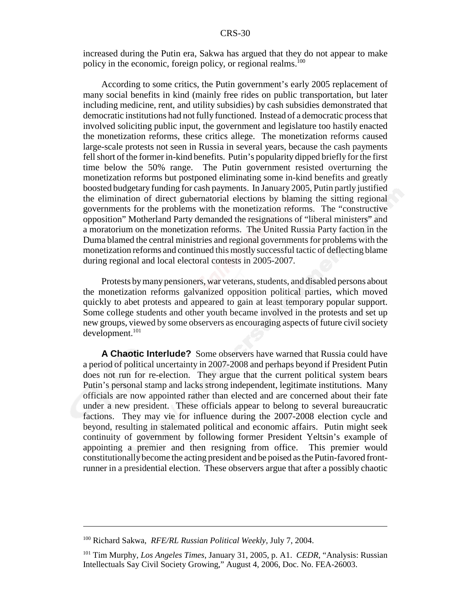increased during the Putin era, Sakwa has argued that they do not appear to make policy in the economic, foreign policy, or regional realms.<sup>100</sup>

According to some critics, the Putin government's early 2005 replacement of many social benefits in kind (mainly free rides on public transportation, but later including medicine, rent, and utility subsidies) by cash subsidies demonstrated that democratic institutions had not fully functioned. Instead of a democratic process that involved soliciting public input, the government and legislature too hastily enacted the monetization reforms, these critics allege. The monetization reforms caused large-scale protests not seen in Russia in several years, because the cash payments fell short of the former in-kind benefits. Putin's popularity dipped briefly for the first time below the 50% range. The Putin government resisted overturning the monetization reforms but postponed eliminating some in-kind benefits and greatly boosted budgetary funding for cash payments. In January 2005, Putin partly justified the elimination of direct gubernatorial elections by blaming the sitting regional governments for the problems with the monetization reforms. The "constructive opposition" Motherland Party demanded the resignations of "liberal ministers" and a moratorium on the monetization reforms. The United Russia Party faction in the Duma blamed the central ministries and regional governments for problems with the monetization reforms and continued this mostly successful tactic of deflecting blame during regional and local electoral contests in 2005-2007.

Protests by many pensioners, war veterans, students, and disabled persons about the monetization reforms galvanized opposition political parties, which moved quickly to abet protests and appeared to gain at least temporary popular support. Some college students and other youth became involved in the protests and set up new groups, viewed by some observers as encouraging aspects of future civil society development.<sup>101</sup>

**A Chaotic Interlude?** Some observers have warned that Russia could have a period of political uncertainty in 2007-2008 and perhaps beyond if President Putin does not run for re-election. They argue that the current political system bears Putin's personal stamp and lacks strong independent, legitimate institutions. Many officials are now appointed rather than elected and are concerned about their fate under a new president. These officials appear to belong to several bureaucratic factions. They may vie for influence during the 2007-2008 election cycle and beyond, resulting in stalemated political and economic affairs. Putin might seek continuity of government by following former President Yeltsin's example of appointing a premier and then resigning from office. This premier would constitutionally become the acting president and be poised as the Putin-favored frontrunner in a presidential election. These observers argue that after a possibly chaotic

<sup>100</sup> Richard Sakwa, *RFE/RL Russian Political Weekly*, July 7, 2004.

<sup>101</sup> Tim Murphy, *Los Angeles Times*, January 31, 2005, p. A1. *CEDR*, "Analysis: Russian Intellectuals Say Civil Society Growing," August 4, 2006, Doc. No. FEA-26003.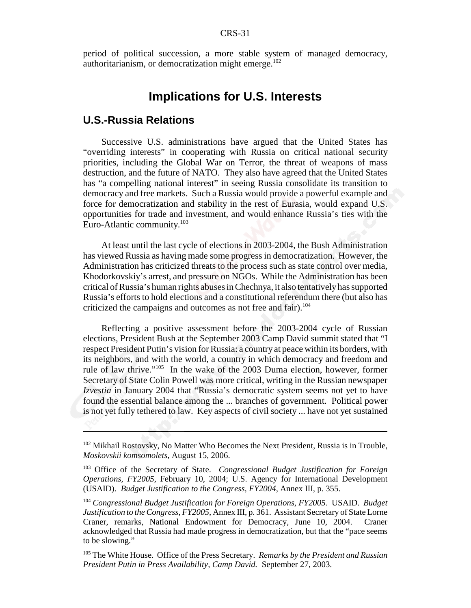period of political succession, a more stable system of managed democracy, authoritarianism, or democratization might emerge.<sup>102</sup>

## **Implications for U.S. Interests**

## **U.S.-Russia Relations**

Successive U.S. administrations have argued that the United States has "overriding interests" in cooperating with Russia on critical national security priorities, including the Global War on Terror, the threat of weapons of mass destruction, and the future of NATO. They also have agreed that the United States has "a compelling national interest" in seeing Russia consolidate its transition to democracy and free markets. Such a Russia would provide a powerful example and force for democratization and stability in the rest of Eurasia, would expand U.S. opportunities for trade and investment, and would enhance Russia's ties with the Euro-Atlantic community.103

At least until the last cycle of elections in 2003-2004, the Bush Administration has viewed Russia as having made some progress in democratization. However, the Administration has criticized threats to the process such as state control over media, Khodorkovskiy's arrest, and pressure on NGOs. While the Administration has been critical of Russia's human rights abuses in Chechnya, it also tentatively has supported Russia's efforts to hold elections and a constitutional referendum there (but also has criticized the campaigns and outcomes as not free and fair).<sup>104</sup>

Reflecting a positive assessment before the 2003-2004 cycle of Russian elections, President Bush at the September 2003 Camp David summit stated that "I respect President Putin's vision for Russia: a country at peace within its borders, with its neighbors, and with the world, a country in which democracy and freedom and rule of law thrive."105 In the wake of the 2003 Duma election, however, former Secretary of State Colin Powell was more critical, writing in the Russian newspaper *Izvestia* in January 2004 that "Russia's democratic system seems not yet to have found the essential balance among the ... branches of government. Political power is not yet fully tethered to law. Key aspects of civil society ... have not yet sustained

<sup>&</sup>lt;sup>102</sup> Mikhail Rostovsky, No Matter Who Becomes the Next President, Russia is in Trouble, *Moskovskii komsomolets*, August 15, 2006.

<sup>103</sup> Office of the Secretary of State. *Congressional Budget Justification for Foreign Operations, FY2005*, February 10, 2004; U.S. Agency for International Development (USAID). *Budget Justification to the Congress, FY2004*, Annex III, p. 355.

<sup>104</sup> *Congressional Budget Justification for Foreign Operations, FY2005*. USAID. *Budget Justification to the Congress, FY2005*, Annex III, p. 361. Assistant Secretary of State Lorne Craner, remarks, National Endowment for Democracy, June 10, 2004. Craner acknowledged that Russia had made progress in democratization, but that the "pace seems to be slowing."

<sup>105</sup> The White House. Office of the Press Secretary. *Remarks by the President and Russian President Putin in Press Availability, Camp David.* September 27, 2003.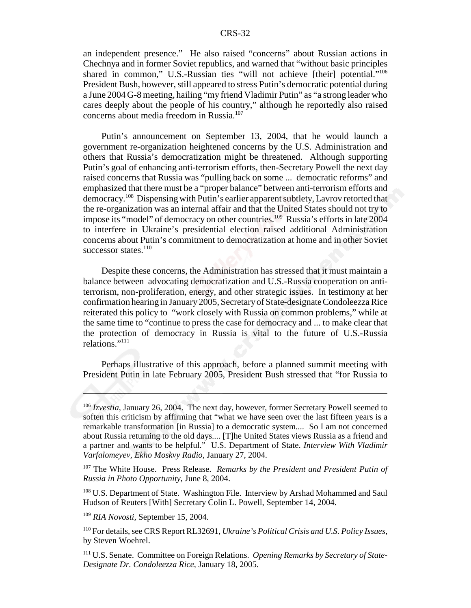an independent presence." He also raised "concerns" about Russian actions in Chechnya and in former Soviet republics, and warned that "without basic principles shared in common," U.S.-Russian ties "will not achieve [their] potential."<sup>106</sup> President Bush, however, still appeared to stress Putin's democratic potential during a June 2004 G-8 meeting, hailing "my friend Vladimir Putin" as "a strong leader who cares deeply about the people of his country," although he reportedly also raised concerns about media freedom in Russia.107

Putin's announcement on September 13, 2004, that he would launch a government re-organization heightened concerns by the U.S. Administration and others that Russia's democratization might be threatened. Although supporting Putin's goal of enhancing anti-terrorism efforts, then-Secretary Powell the next day raised concerns that Russia was "pulling back on some ... democratic reforms" and emphasized that there must be a "proper balance" between anti-terrorism efforts and democracy.108 Dispensing with Putin's earlier apparent subtlety, Lavrov retorted that the re-organization was an internal affair and that the United States should not try to impose its "model" of democracy on other countries.<sup>109</sup> Russia's efforts in late 2004 to interfere in Ukraine's presidential election raised additional Administration concerns about Putin's commitment to democratization at home and in other Soviet successor states. $110$ 

Despite these concerns, the Administration has stressed that it must maintain a balance between advocating democratization and U.S.-Russia cooperation on antiterrorism, non-proliferation, energy, and other strategic issues. In testimony at her confirmation hearing in January 2005, Secretary of State-designate Condoleezza Rice reiterated this policy to "work closely with Russia on common problems," while at the same time to "continue to press the case for democracy and ... to make clear that the protection of democracy in Russia is vital to the future of U.S.-Russia relations."111

Perhaps illustrative of this approach, before a planned summit meeting with President Putin in late February 2005, President Bush stressed that "for Russia to

<sup>106</sup> *Izvestia*, January 26, 2004. The next day, however, former Secretary Powell seemed to soften this criticism by affirming that "what we have seen over the last fifteen years is a remarkable transformation [in Russia] to a democratic system.... So I am not concerned about Russia returning to the old days.... [T]he United States views Russia as a friend and a partner and wants to be helpful." U.S. Department of State. *Interview With Vladimir Varfalomeyev, Ekho Moskvy Radio*, January 27, 2004.

<sup>107</sup> The White House. Press Release. *Remarks by the President and President Putin of Russia in Photo Opportunity*, June 8, 2004.

<sup>&</sup>lt;sup>108</sup> U.S. Department of State. Washington File. Interview by Arshad Mohammed and Saul Hudson of Reuters [With] Secretary Colin L. Powell, September 14, 2004.

<sup>109</sup> *RIA Novosti,* September 15, 2004.

<sup>110</sup> For details, see CRS Report RL32691, *Ukraine's Political Crisis and U.S. Policy Issues*, by Steven Woehrel.

<sup>111</sup> U.S. Senate. Committee on Foreign Relations. *Opening Remarks by Secretary of State-Designate Dr. Condoleezza Rice*, January 18, 2005.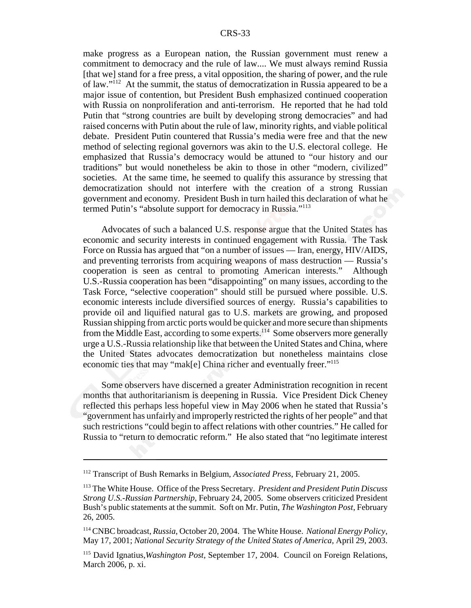make progress as a European nation, the Russian government must renew a commitment to democracy and the rule of law.... We must always remind Russia [that we] stand for a free press, a vital opposition, the sharing of power, and the rule of law."112 At the summit, the status of democratization in Russia appeared to be a major issue of contention, but President Bush emphasized continued cooperation with Russia on nonproliferation and anti-terrorism. He reported that he had told Putin that "strong countries are built by developing strong democracies" and had raised concerns with Putin about the rule of law, minority rights, and viable political debate. President Putin countered that Russia's media were free and that the new method of selecting regional governors was akin to the U.S. electoral college. He emphasized that Russia's democracy would be attuned to "our history and our traditions" but would nonetheless be akin to those in other "modern, civilized" societies. At the same time, he seemed to qualify this assurance by stressing that democratization should not interfere with the creation of a strong Russian government and economy. President Bush in turn hailed this declaration of what he termed Putin's "absolute support for democracy in Russia."113

Advocates of such a balanced U.S. response argue that the United States has economic and security interests in continued engagement with Russia. The Task Force on Russia has argued that "on a number of issues — Iran, energy, HIV/AIDS, and preventing terrorists from acquiring weapons of mass destruction — Russia's cooperation is seen as central to promoting American interests." Although U.S.-Russia cooperation has been "disappointing" on many issues, according to the Task Force, "selective cooperation" should still be pursued where possible. U.S. economic interests include diversified sources of energy. Russia's capabilities to provide oil and liquified natural gas to U.S. markets are growing, and proposed Russian shipping from arctic ports would be quicker and more secure than shipments from the Middle East, according to some experts.114 Some observers more generally urge a U.S.-Russia relationship like that between the United States and China, where the United States advocates democratization but nonetheless maintains close economic ties that may "mak[e] China richer and eventually freer."115

Some observers have discerned a greater Administration recognition in recent months that authoritarianism is deepening in Russia. Vice President Dick Cheney reflected this perhaps less hopeful view in May 2006 when he stated that Russia's "government has unfairly and improperly restricted the rights of her people" and that such restrictions "could begin to affect relations with other countries." He called for Russia to "return to democratic reform." He also stated that "no legitimate interest

<sup>112</sup> Transcript of Bush Remarks in Belgium, *Associated Press*, February 21, 2005.

<sup>113</sup> The White House. Office of the Press Secretary. *President and President Putin Discuss Strong U.S.-Russian Partnership*, February 24, 2005. Some observers criticized President Bush's public statements at the summit. Soft on Mr. Putin, *The Washington Post*, February 26, 2005.

<sup>114</sup> CNBC broadcast, *Russia*, October 20, 2004. The White House. *National Energy Policy*, May 17, 2001; *National Security Strategy of the United States of America,* April 29, 2003.

<sup>115</sup> David Ignatius,*Washington Post*, September 17, 2004. Council on Foreign Relations, March 2006, p. xi.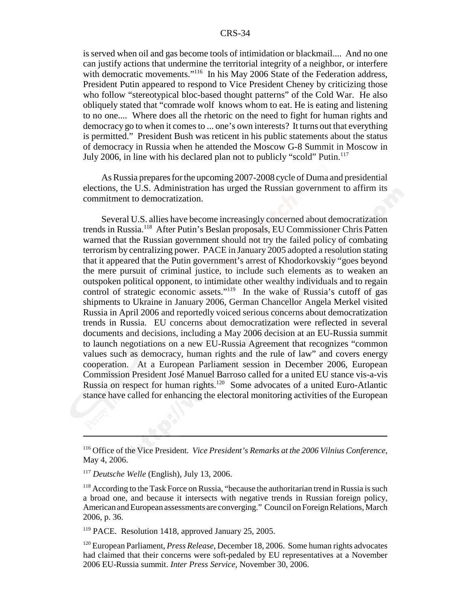is served when oil and gas become tools of intimidation or blackmail.... And no one can justify actions that undermine the territorial integrity of a neighbor, or interfere with democratic movements."<sup>116</sup> In his May 2006 State of the Federation address, President Putin appeared to respond to Vice President Cheney by criticizing those who follow "stereotypical bloc-based thought patterns" of the Cold War. He also obliquely stated that "comrade wolf knows whom to eat. He is eating and listening to no one.... Where does all the rhetoric on the need to fight for human rights and democracy go to when it comes to ... one's own interests? It turns out that everything is permitted." President Bush was reticent in his public statements about the status of democracy in Russia when he attended the Moscow G-8 Summit in Moscow in July 2006, in line with his declared plan not to publicly "scold" Putin.<sup>117</sup>

As Russia prepares for the upcoming 2007-2008 cycle of Duma and presidential elections, the U.S. Administration has urged the Russian government to affirm its commitment to democratization.

Several U.S. allies have become increasingly concerned about democratization trends in Russia.118 After Putin's Beslan proposals, EU Commissioner Chris Patten warned that the Russian government should not try the failed policy of combating terrorism by centralizing power. PACE in January 2005 adopted a resolution stating that it appeared that the Putin government's arrest of Khodorkovskiy "goes beyond the mere pursuit of criminal justice, to include such elements as to weaken an outspoken political opponent, to intimidate other wealthy individuals and to regain control of strategic economic assets."<sup>119</sup> In the wake of Russia's cutoff of gas shipments to Ukraine in January 2006, German Chancellor Angela Merkel visited Russia in April 2006 and reportedly voiced serious concerns about democratization trends in Russia. EU concerns about democratization were reflected in several documents and decisions, including a May 2006 decision at an EU-Russia summit to launch negotiations on a new EU-Russia Agreement that recognizes "common values such as democracy, human rights and the rule of law" and covers energy cooperation. At a European Parliament session in December 2006, European Commission President José Manuel Barroso called for a united EU stance vis-a-vis Russia on respect for human rights.120 Some advocates of a united Euro-Atlantic stance have called for enhancing the electoral monitoring activities of the European

<sup>116</sup> Office of the Vice President. *Vice President's Remarks at the 2006 Vilnius Conference*, May 4, 2006.

<sup>117</sup> *Deutsche Welle* (English), July 13, 2006.

 $118$  According to the Task Force on Russia, "because the authoritarian trend in Russia is such a broad one, and because it intersects with negative trends in Russian foreign policy, American and European assessments are converging." Council on Foreign Relations, March 2006, p. 36.

<sup>119</sup> PACE. Resolution 1418, approved January 25, 2005.

<sup>120</sup> European Parliament, *Press Release*, December 18, 2006. Some human rights advocates had claimed that their concerns were soft-pedaled by EU representatives at a November 2006 EU-Russia summit. *Inter Press Service*, November 30, 2006.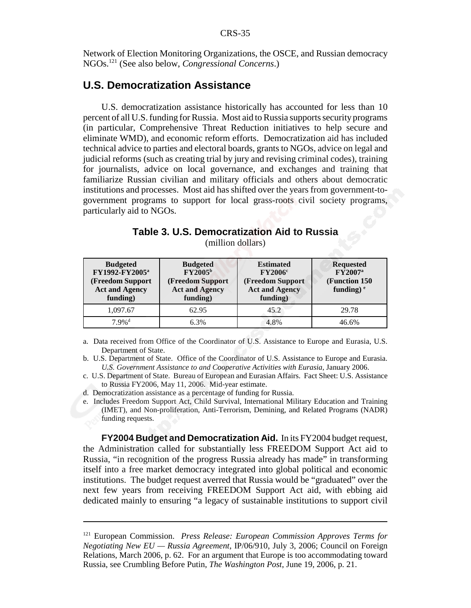Network of Election Monitoring Organizations, the OSCE, and Russian democracy NGOs.121 (See also below, *Congressional Concerns*.)

## **U.S. Democratization Assistance**

U.S. democratization assistance historically has accounted for less than 10 percent of all U.S. funding for Russia. Most aid to Russia supports security programs (in particular, Comprehensive Threat Reduction initiatives to help secure and eliminate WMD), and economic reform efforts. Democratization aid has included technical advice to parties and electoral boards, grants to NGOs, advice on legal and judicial reforms (such as creating trial by jury and revising criminal codes), training for journalists, advice on local governance, and exchanges and training that familiarize Russian civilian and military officials and others about democratic institutions and processes. Most aid has shifted over the years from government-togovernment programs to support for local grass-roots civil society programs, particularly aid to NGOs.

|  | Table 3. U.S. Democratization Aid to Russia |  |  |
|--|---------------------------------------------|--|--|
|  | (million dollars)                           |  |  |

| <b>Budgeted</b><br>FY1992-FY2005 <sup>a</sup><br>(Freedom Support<br><b>Act and Agency</b><br>funding) | <b>Budgeted</b><br>FY2005 <sup>b</sup><br>(Freedom Support<br><b>Act and Agency</b><br>funding) | <b>Estimated</b><br>$\rm FY2006^c$<br>(Freedom Support<br><b>Act and Agency</b><br>funding) | <b>Requested</b><br><b>FY2007</b> <sup>a</sup><br>(Function 150)<br>funding) $e$ |
|--------------------------------------------------------------------------------------------------------|-------------------------------------------------------------------------------------------------|---------------------------------------------------------------------------------------------|----------------------------------------------------------------------------------|
| 1.097.67                                                                                               | 62.95                                                                                           | 45.2                                                                                        | 29.78                                                                            |
| $7.9\%$ <sup>d</sup>                                                                                   | 6.3%                                                                                            | 4.8%                                                                                        | 46.6%                                                                            |

- a. Data received from Office of the Coordinator of U.S. Assistance to Europe and Eurasia, U.S. Department of State.
- b. U.S. Department of State. Office of the Coordinator of U.S. Assistance to Europe and Eurasia*. U.S. Government Assistance to and Cooperative Activities with Eurasia*, January 2006.
- c. U.S. Department of State. Bureau of European and Eurasian Affairs. Fact Sheet: U.S. Assistance to Russia FY2006, May 11, 2006. Mid-year estimate.
- d. Democratization assistance as a percentage of funding for Russia.
- e. Includes Freedom Support Act, Child Survival, International Military Education and Training (IMET), and Non-proliferation, Anti-Terrorism, Demining, and Related Programs (NADR) funding requests.

**FY2004 Budget and Democratization Aid.** In its FY2004 budget request, the Administration called for substantially less FREEDOM Support Act aid to Russia, "in recognition of the progress Russia already has made" in transforming itself into a free market democracy integrated into global political and economic institutions. The budget request averred that Russia would be "graduated" over the next few years from receiving FREEDOM Support Act aid, with ebbing aid dedicated mainly to ensuring "a legacy of sustainable institutions to support civil

<sup>121</sup> European Commission. *Press Release: European Commission Approves Terms for Negotiating New EU — Russia Agreement*, IP/06/910, July 3, 2006; Council on Foreign Relations, March 2006, p. 62. For an argument that Europe is too accommodating toward Russia, see Crumbling Before Putin, *The Washington Post*, June 19, 2006, p. 21.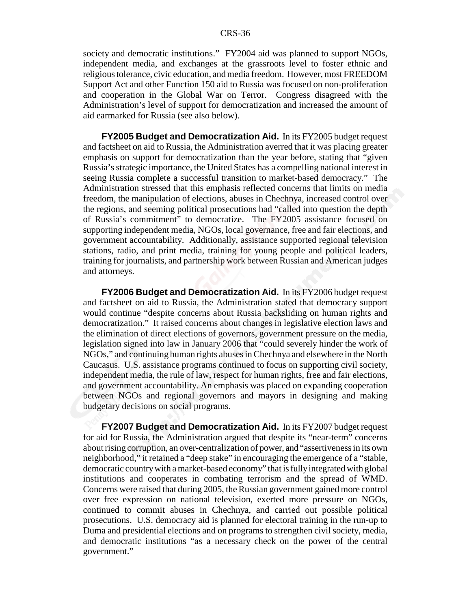society and democratic institutions." FY2004 aid was planned to support NGOs, independent media, and exchanges at the grassroots level to foster ethnic and religious tolerance, civic education, and media freedom. However, most FREEDOM Support Act and other Function 150 aid to Russia was focused on non-proliferation and cooperation in the Global War on Terror. Congress disagreed with the Administration's level of support for democratization and increased the amount of aid earmarked for Russia (see also below).

**FY2005 Budget and Democratization Aid.** In its FY2005 budget request and factsheet on aid to Russia, the Administration averred that it was placing greater emphasis on support for democratization than the year before, stating that "given Russia's strategic importance, the United States has a compelling national interest in seeing Russia complete a successful transition to market-based democracy." The Administration stressed that this emphasis reflected concerns that limits on media freedom, the manipulation of elections, abuses in Chechnya, increased control over the regions, and seeming political prosecutions had "called into question the depth of Russia's commitment" to democratize. The FY2005 assistance focused on supporting independent media, NGOs, local governance, free and fair elections, and government accountability. Additionally, assistance supported regional television stations, radio, and print media, training for young people and political leaders, training for journalists, and partnership work between Russian and American judges and attorneys.

**FY2006 Budget and Democratization Aid.** In its FY2006 budget request and factsheet on aid to Russia, the Administration stated that democracy support would continue "despite concerns about Russia backsliding on human rights and democratization." It raised concerns about changes in legislative election laws and the elimination of direct elections of governors, government pressure on the media, legislation signed into law in January 2006 that "could severely hinder the work of NGOs," and continuing human rights abuses in Chechnya and elsewhere in the North Caucasus. U.S. assistance programs continued to focus on supporting civil society, independent media, the rule of law, respect for human rights, free and fair elections, and government accountability. An emphasis was placed on expanding cooperation between NGOs and regional governors and mayors in designing and making budgetary decisions on social programs.

**FY2007 Budget and Democratization Aid.** In its FY2007 budget request for aid for Russia, the Administration argued that despite its "near-term" concerns about rising corruption, an over-centralization of power, and "assertiveness in its own neighborhood," it retained a "deep stake" in encouraging the emergence of a "stable, democratic country with a market-based economy" that is fully integrated with global institutions and cooperates in combating terrorism and the spread of WMD. Concerns were raised that during 2005, the Russian government gained more control over free expression on national television, exerted more pressure on NGOs, continued to commit abuses in Chechnya, and carried out possible political prosecutions. U.S. democracy aid is planned for electoral training in the run-up to Duma and presidential elections and on programs to strengthen civil society, media, and democratic institutions "as a necessary check on the power of the central government."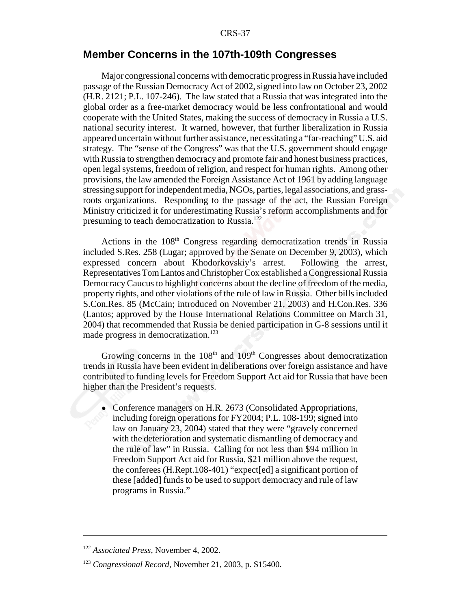#### **Member Concerns in the 107th-109th Congresses**

Major congressional concerns with democratic progress in Russia have included passage of the Russian Democracy Act of 2002, signed into law on October 23, 2002 (H.R. 2121; P.L. 107-246). The law stated that a Russia that was integrated into the global order as a free-market democracy would be less confrontational and would cooperate with the United States, making the success of democracy in Russia a U.S. national security interest. It warned, however, that further liberalization in Russia appeared uncertain without further assistance, necessitating a "far-reaching" U.S. aid strategy. The "sense of the Congress" was that the U.S. government should engage with Russia to strengthen democracy and promote fair and honest business practices, open legal systems, freedom of religion, and respect for human rights. Among other provisions, the law amended the Foreign Assistance Act of 1961 by adding language stressing support for independent media, NGOs, parties, legal associations, and grassroots organizations. Responding to the passage of the act, the Russian Foreign Ministry criticized it for underestimating Russia's reform accomplishments and for presuming to teach democratization to Russia.122

Actions in the  $108<sup>th</sup>$  Congress regarding democratization trends in Russia included S.Res. 258 (Lugar; approved by the Senate on December 9, 2003), which expressed concern about Khodorkovskiy's arrest. Following the arrest, Representatives Tom Lantos and Christopher Cox established a Congressional Russia Democracy Caucus to highlight concerns about the decline of freedom of the media, property rights, and other violations of the rule of law in Russia. Other bills included S.Con.Res. 85 (McCain; introduced on November 21, 2003) and H.Con.Res. 336 (Lantos; approved by the House International Relations Committee on March 31, 2004) that recommended that Russia be denied participation in G-8 sessions until it made progress in democratization.<sup>123</sup>

Growing concerns in the  $108<sup>th</sup>$  and  $109<sup>th</sup>$  Congresses about democratization trends in Russia have been evident in deliberations over foreign assistance and have contributed to funding levels for Freedom Support Act aid for Russia that have been higher than the President's requests.

• Conference managers on H.R. 2673 (Consolidated Appropriations, including foreign operations for FY2004; P.L. 108-199; signed into law on January 23, 2004) stated that they were "gravely concerned with the deterioration and systematic dismantling of democracy and the rule of law" in Russia. Calling for not less than \$94 million in Freedom Support Act aid for Russia, \$21 million above the request, the conferees (H.Rept.108-401) "expect[ed] a significant portion of these [added] funds to be used to support democracy and rule of law programs in Russia."

<sup>122</sup> *Associated Press*, November 4, 2002.

<sup>123</sup> *Congressional Record*, November 21, 2003, p. S15400.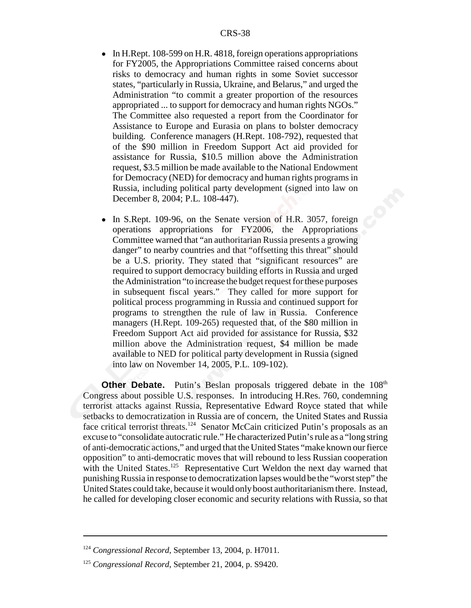- In H.Rept. 108-599 on H.R. 4818, foreign operations appropriations for FY2005, the Appropriations Committee raised concerns about risks to democracy and human rights in some Soviet successor states, "particularly in Russia, Ukraine, and Belarus," and urged the Administration "to commit a greater proportion of the resources appropriated ... to support for democracy and human rights NGOs." The Committee also requested a report from the Coordinator for Assistance to Europe and Eurasia on plans to bolster democracy building. Conference managers (H.Rept. 108-792), requested that of the \$90 million in Freedom Support Act aid provided for assistance for Russia, \$10.5 million above the Administration request, \$3.5 million be made available to the National Endowment for Democracy (NED) for democracy and human rights programs in Russia, including political party development (signed into law on December 8, 2004; P.L. 108-447).
- In S.Rept. 109-96, on the Senate version of H.R. 3057, foreign operations appropriations for FY2006, the Appropriations Committee warned that "an authoritarian Russia presents a growing danger" to nearby countries and that "offsetting this threat" should be a U.S. priority. They stated that "significant resources" are required to support democracy building efforts in Russia and urged the Administration "to increase the budget request for these purposes in subsequent fiscal years." They called for more support for political process programming in Russia and continued support for programs to strengthen the rule of law in Russia. Conference managers (H.Rept. 109-265) requested that, of the \$80 million in Freedom Support Act aid provided for assistance for Russia, \$32 million above the Administration request, \$4 million be made available to NED for political party development in Russia (signed into law on November 14, 2005, P.L. 109-102).

**Other Debate.** Putin's Beslan proposals triggered debate in the 108<sup>th</sup> Congress about possible U.S. responses. In introducing H.Res. 760, condemning terrorist attacks against Russia, Representative Edward Royce stated that while setbacks to democratization in Russia are of concern, the United States and Russia face critical terrorist threats.<sup>124</sup> Senator McCain criticized Putin's proposals as an excuse to "consolidate autocratic rule." He characterized Putin's rule as a "long string of anti-democratic actions," and urged that the United States "make known our fierce opposition" to anti-democratic moves that will rebound to less Russian cooperation with the United States.<sup>125</sup> Representative Curt Weldon the next day warned that punishing Russia in response to democratization lapses would be the "worst step" the United States could take, because it would only boost authoritarianism there. Instead, he called for developing closer economic and security relations with Russia, so that

<sup>124</sup> *Congressional Record*, September 13, 2004, p. H7011.

<sup>&</sup>lt;sup>125</sup> Congressional Record, September 21, 2004, p. S9420.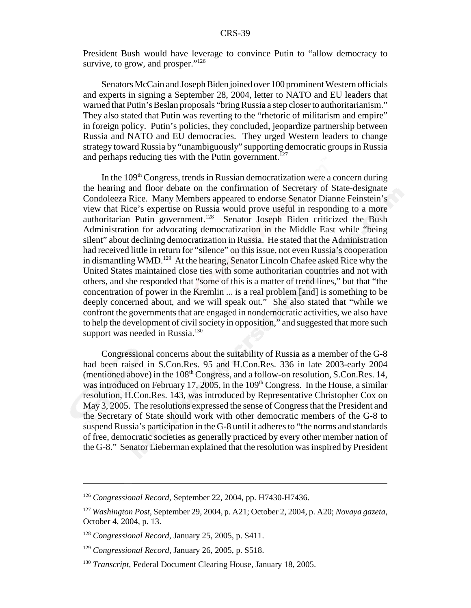President Bush would have leverage to convince Putin to "allow democracy to survive, to grow, and prosper."<sup>126</sup>

Senators McCain and Joseph Biden joined over 100 prominent Western officials and experts in signing a September 28, 2004, letter to NATO and EU leaders that warned that Putin's Beslan proposals "bring Russia a step closer to authoritarianism." They also stated that Putin was reverting to the "rhetoric of militarism and empire" in foreign policy. Putin's policies, they concluded, jeopardize partnership between Russia and NATO and EU democracies. They urged Western leaders to change strategy toward Russia by "unambiguously" supporting democratic groups in Russia and perhaps reducing ties with the Putin government.<sup>127</sup>

In the  $109<sup>th</sup> Congress$ , trends in Russian democratization were a concern during the hearing and floor debate on the confirmation of Secretary of State-designate Condoleeza Rice. Many Members appeared to endorse Senator Dianne Feinstein's view that Rice's expertise on Russia would prove useful in responding to a more authoritarian Putin government.<sup>128</sup> Senator Joseph Biden criticized the Bush Administration for advocating democratization in the Middle East while "being silent" about declining democratization in Russia. He stated that the Administration had received little in return for "silence" on this issue, not even Russia's cooperation in dismantling WMD.<sup>129</sup> At the hearing, Senator Lincoln Chafee asked Rice why the United States maintained close ties with some authoritarian countries and not with others, and she responded that "some of this is a matter of trend lines," but that "the concentration of power in the Kremlin ... is a real problem [and] is something to be deeply concerned about, and we will speak out." She also stated that "while we confront the governments that are engaged in nondemocratic activities, we also have to help the development of civil society in opposition," and suggested that more such support was needed in Russia. $130$ 

Congressional concerns about the suitability of Russia as a member of the G-8 had been raised in S.Con.Res. 95 and H.Con.Res. 336 in late 2003-early 2004 (mentioned above) in the  $108<sup>th</sup> Congress$ , and a follow-on resolution, S.Con.Res. 14, was introduced on February 17, 2005, in the 109<sup>th</sup> Congress. In the House, a similar resolution, H.Con.Res. 143, was introduced by Representative Christopher Cox on May 3, 2005. The resolutions expressed the sense of Congress that the President and the Secretary of State should work with other democratic members of the G-8 to suspend Russia's participation in the G-8 until it adheres to "the norms and standards of free, democratic societies as generally practiced by every other member nation of the G-8." Senator Lieberman explained that the resolution was inspired by President

<sup>126</sup> *Congressional Record*, September 22, 2004, pp. H7430-H7436.

<sup>127</sup> *Washington Post*, September 29, 2004, p. A21; October 2, 2004, p. A20; *Novaya gazeta*, October 4, 2004, p. 13.

<sup>128</sup> *Congressional Record*, January 25, 2005, p. S411.

<sup>129</sup> *Congressional Record*, January 26, 2005, p. S518.

<sup>130</sup> *Transcript*, Federal Document Clearing House, January 18, 2005.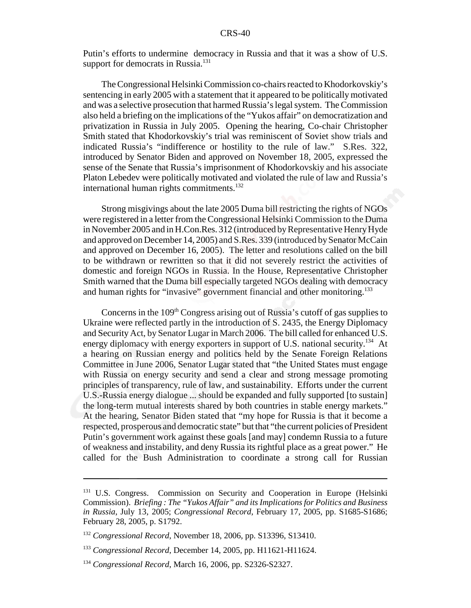Putin's efforts to undermine democracy in Russia and that it was a show of U.S. support for democrats in Russia.<sup>131</sup>

The Congressional Helsinki Commission co-chairs reacted to Khodorkovskiy's sentencing in early 2005 with a statement that it appeared to be politically motivated and was a selective prosecution that harmed Russia's legal system. The Commission also held a briefing on the implications of the "Yukos affair" on democratization and privatization in Russia in July 2005. Opening the hearing, Co-chair Christopher Smith stated that Khodorkovskiy's trial was reminiscent of Soviet show trials and indicated Russia's "indifference or hostility to the rule of law." S.Res. 322, introduced by Senator Biden and approved on November 18, 2005, expressed the sense of the Senate that Russia's imprisonment of Khodorkovskiy and his associate Platon Lebedev were politically motivated and violated the rule of law and Russia's international human rights commitments.<sup>132</sup>

Strong misgivings about the late 2005 Duma bill restricting the rights of NGOs were registered in a letter from the Congressional Helsinki Commission to the Duma in November 2005 and in H.Con.Res. 312 (introduced by Representative Henry Hyde and approved on December 14, 2005) and S.Res. 339 (introduced by Senator McCain and approved on December 16, 2005). The letter and resolutions called on the bill to be withdrawn or rewritten so that it did not severely restrict the activities of domestic and foreign NGOs in Russia. In the House, Representative Christopher Smith warned that the Duma bill especially targeted NGOs dealing with democracy and human rights for "invasive" government financial and other monitoring.<sup>133</sup>

Concerns in the  $109<sup>th</sup>$  Congress arising out of Russia's cutoff of gas supplies to Ukraine were reflected partly in the introduction of S. 2435, the Energy Diplomacy and Security Act, by Senator Lugar in March 2006. The bill called for enhanced U.S. energy diplomacy with energy exporters in support of U.S. national security.<sup>134</sup> At a hearing on Russian energy and politics held by the Senate Foreign Relations Committee in June 2006, Senator Lugar stated that "the United States must engage with Russia on energy security and send a clear and strong message promoting principles of transparency, rule of law, and sustainability. Efforts under the current U.S.-Russia energy dialogue ... should be expanded and fully supported [to sustain] the long-term mutual interests shared by both countries in stable energy markets." At the hearing, Senator Biden stated that "my hope for Russia is that it become a respected, prosperous and democratic state" but that "the current policies of President Putin's government work against these goals [and may] condemn Russia to a future of weakness and instability, and deny Russia its rightful place as a great power." He called for the Bush Administration to coordinate a strong call for Russian

<sup>&</sup>lt;sup>131</sup> U.S. Congress. Commission on Security and Cooperation in Europe (Helsinki Commission). *Briefing : The "Yukos Affair" and its Implications for Politics and Business in Russia*, July 13, 2005; *Congressional Record*, February 17, 2005, pp. S1685-S1686; February 28, 2005, p. S1792.

<sup>132</sup> *Congressional Record*, November 18, 2006, pp. S13396, S13410.

<sup>133</sup> *Congressional Record*, December 14, 2005, pp. H11621-H11624.

<sup>134</sup> *Congressional Record*, March 16, 2006, pp. S2326-S2327.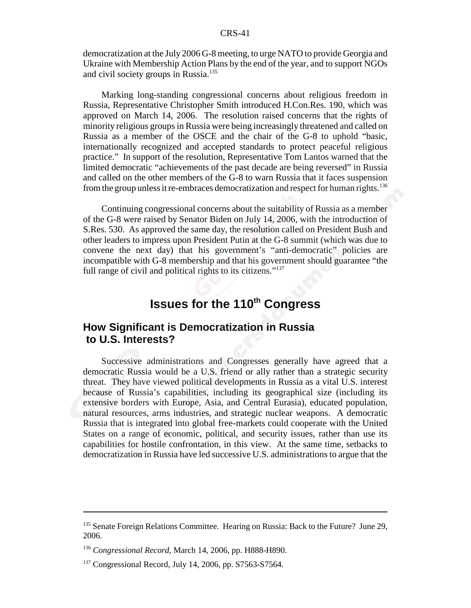democratization at the July 2006 G-8 meeting, to urge NATO to provide Georgia and Ukraine with Membership Action Plans by the end of the year, and to support NGOs and civil society groups in Russia.<sup>135</sup>

Marking long-standing congressional concerns about religious freedom in Russia, Representative Christopher Smith introduced H.Con.Res. 190, which was approved on March 14, 2006. The resolution raised concerns that the rights of minority religious groups in Russia were being increasingly threatened and called on Russia as a member of the OSCE and the chair of the G-8 to uphold "basic, internationally recognized and accepted standards to protect peaceful religious practice." In support of the resolution, Representative Tom Lantos warned that the limited democratic "achievements of the past decade are being reversed" in Russia and called on the other members of the G-8 to warn Russia that it faces suspension from the group unless it re-embraces democratization and respect for human rights.<sup>136</sup>

Continuing congressional concerns about the suitability of Russia as a member of the G-8 were raised by Senator Biden on July 14, 2006, with the introduction of S.Res. 530. As approved the same day, the resolution called on President Bush and other leaders to impress upon President Putin at the G-8 summit (which was due to convene the next day) that his government's "anti-democratic" policies are incompatible with G-8 membership and that his government should guarantee "the full range of civil and political rights to its citizens."<sup>137</sup>

# **Issues for the 110<sup>th</sup> Congress**

## **How Significant is Democratization in Russia to U.S. Interests?**

Successive administrations and Congresses generally have agreed that a democratic Russia would be a U.S. friend or ally rather than a strategic security threat. They have viewed political developments in Russia as a vital U.S. interest because of Russia's capabilities, including its geographical size (including its extensive borders with Europe, Asia, and Central Eurasia), educated population, natural resources, arms industries, and strategic nuclear weapons. A democratic Russia that is integrated into global free-markets could cooperate with the United States on a range of economic, political, and security issues, rather than use its capabilities for hostile confrontation, in this view. At the same time, setbacks to democratization in Russia have led successive U.S. administrations to argue that the

<sup>&</sup>lt;sup>135</sup> Senate Foreign Relations Committee. Hearing on Russia: Back to the Future? June 29, 2006.

<sup>136</sup> *Congressional Record*, March 14, 2006, pp. H888-H890.

 $137$  Congressional Record, July 14, 2006, pp. S7563-S7564.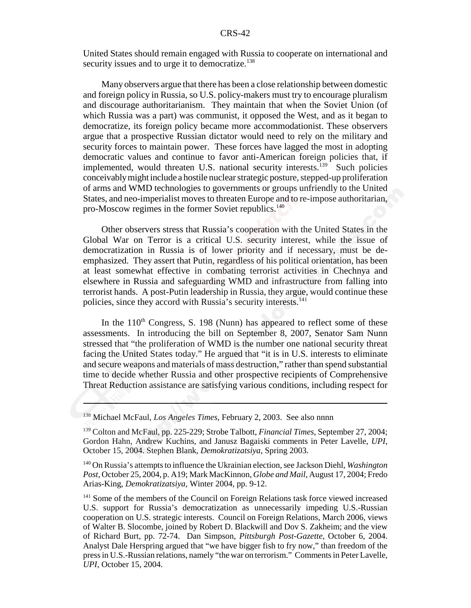United States should remain engaged with Russia to cooperate on international and security issues and to urge it to democratize.<sup>138</sup>

Many observers argue that there has been a close relationship between domestic and foreign policy in Russia, so U.S. policy-makers must try to encourage pluralism and discourage authoritarianism. They maintain that when the Soviet Union (of which Russia was a part) was communist, it opposed the West, and as it began to democratize, its foreign policy became more accommodationist. These observers argue that a prospective Russian dictator would need to rely on the military and security forces to maintain power. These forces have lagged the most in adopting democratic values and continue to favor anti-American foreign policies that, if implemented, would threaten U.S. national security interests.<sup>139</sup> Such policies conceivably might include a hostile nuclear strategic posture, stepped-up proliferation of arms and WMD technologies to governments or groups unfriendly to the United States, and neo-imperialist moves to threaten Europe and to re-impose authoritarian, pro-Moscow regimes in the former Soviet republics.<sup>140</sup>

Other observers stress that Russia's cooperation with the United States in the Global War on Terror is a critical U.S. security interest, while the issue of democratization in Russia is of lower priority and if necessary, must be deemphasized. They assert that Putin, regardless of his political orientation, has been at least somewhat effective in combating terrorist activities in Chechnya and elsewhere in Russia and safeguarding WMD and infrastructure from falling into terrorist hands. A post-Putin leadership in Russia, they argue, would continue these policies, since they accord with Russia's security interests.<sup>141</sup>

In the  $110<sup>th</sup>$  Congress, S. 198 (Nunn) has appeared to reflect some of these assessments. In introducing the bill on September 8, 2007, Senator Sam Nunn stressed that "the proliferation of WMD is the number one national security threat facing the United States today." He argued that "it is in U.S. interests to eliminate and secure weapons and materials of mass destruction," rather than spend substantial time to decide whether Russia and other prospective recipients of Comprehensive Threat Reduction assistance are satisfying various conditions, including respect for

<sup>138</sup> Michael McFaul, *Los Angeles Times*, February 2, 2003. See also nnnn

<sup>139</sup> Colton and McFaul, pp. 225-229; Strobe Talbott, *Financial Times*, September 27, 2004; Gordon Hahn, Andrew Kuchins, and Janusz Bagaiski comments in Peter Lavelle, *UPI*, October 15, 2004. Stephen Blank, *Demokratizatsiya*, Spring 2003.

<sup>140</sup> On Russia's attempts to influence the Ukrainian election, see Jackson Diehl, *Washington Post*, October 25, 2004, p. A19; Mark MacKinnon, *Globe and Mail*, August 17, 2004; Fredo Arias-King, *Demokratizatsiya,* Winter 2004, pp. 9-12.

<sup>&</sup>lt;sup>141</sup> Some of the members of the Council on Foreign Relations task force viewed increased U.S. support for Russia's democratization as unnecessarily impeding U.S.-Russian cooperation on U.S. strategic interests. Council on Foreign Relations, March 2006, views of Walter B. Slocombe, joined by Robert D. Blackwill and Dov S. Zakheim; and the view of Richard Burt, pp. 72-74. Dan Simpson, *Pittsburgh Post-Gazette*, October 6, 2004. Analyst Dale Herspring argued that "we have bigger fish to fry now," than freedom of the press in U.S.-Russian relations, namely "the war on terrorism." Comments in Peter Lavelle, *UPI*, October 15, 2004.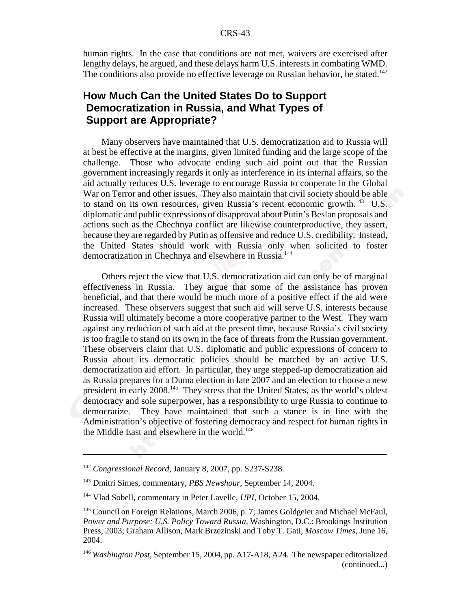human rights. In the case that conditions are not met, waivers are exercised after lengthy delays, he argued, and these delays harm U.S. interests in combating WMD. The conditions also provide no effective leverage on Russian behavior, he stated.<sup>142</sup>

## **How Much Can the United States Do to Support Democratization in Russia, and What Types of Support are Appropriate?**

Many observers have maintained that U.S. democratization aid to Russia will at best be effective at the margins, given limited funding and the large scope of the challenge. Those who advocate ending such aid point out that the Russian government increasingly regards it only as interference in its internal affairs, so the aid actually reduces U.S. leverage to encourage Russia to cooperate in the Global War on Terror and other issues. They also maintain that civil society should be able to stand on its own resources, given Russia's recent economic growth.<sup>143</sup> U.S. diplomatic and public expressions of disapproval about Putin's Beslan proposals and actions such as the Chechnya conflict are likewise counterproductive, they assert, because they are regarded by Putin as offensive and reduce U.S. credibility. Instead, the United States should work with Russia only when solicited to foster democratization in Chechnya and elsewhere in Russia.<sup>144</sup>

Others reject the view that U.S. democratization aid can only be of marginal effectiveness in Russia. They argue that some of the assistance has proven beneficial, and that there would be much more of a positive effect if the aid were increased. These observers suggest that such aid will serve U.S. interests because Russia will ultimately become a more cooperative partner to the West. They warn against any reduction of such aid at the present time, because Russia's civil society is too fragile to stand on its own in the face of threats from the Russian government. These observers claim that U.S. diplomatic and public expressions of concern to Russia about its democratic policies should be matched by an active U.S. democratization aid effort. In particular, they urge stepped-up democratization aid as Russia prepares for a Duma election in late 2007 and an election to choose a new president in early 2008.145 They stress that the United States, as the world's oldest democracy and sole superpower, has a responsibility to urge Russia to continue to democratize. They have maintained that such a stance is in line with the Administration's objective of fostering democracy and respect for human rights in the Middle East and elsewhere in the world.<sup>146</sup>

<sup>142</sup> *Congressional Record*, January 8, 2007, pp. S237-S238.

<sup>143</sup> Dmitri Simes, commentary, *PBS Newshour*, September 14, 2004.

<sup>144</sup> Vlad Sobell, commentary in Peter Lavelle, *UPI*, October 15, 2004.

<sup>&</sup>lt;sup>145</sup> Council on Foreign Relations, March 2006, p. 7; James Goldgeier and Michael McFaul, *Power and Purpose: U.S. Policy Toward Russia*, Washington, D.C.: Brookings Institution Press, 2003; Graham Allison, Mark Brzezinski and Toby T. Gati, *Moscow Times*, June 16, 2004.

<sup>146</sup> *Washington Post*, September 15, 2004, pp. A17-A18, A24. The newspaper editorialized (continued...)